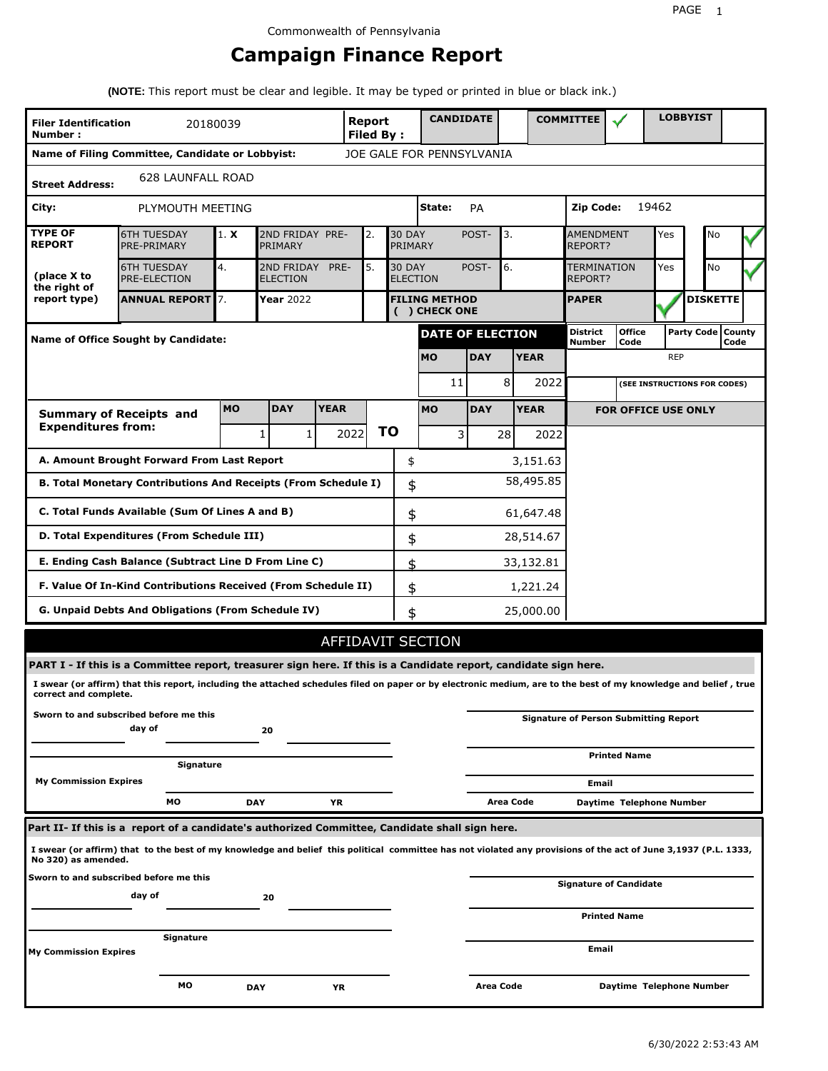# **Campaign Finance Report**

**(NOTE:** This report must be clear and legible. It may be typed or printed in blue or black ink.)

| <b>Filer Identification</b><br>Number: |                                                                                                                                                                 | 20180039  |                               |             | Report<br>Filed By: |               |                                       | <b>CANDIDATE</b> |                  |           | <b>COMMITTEE</b>              |                                              |            | <b>LOBBYIST</b>              |      |
|----------------------------------------|-----------------------------------------------------------------------------------------------------------------------------------------------------------------|-----------|-------------------------------|-------------|---------------------|---------------|---------------------------------------|------------------|------------------|-----------|-------------------------------|----------------------------------------------|------------|------------------------------|------|
|                                        | Name of Filing Committee, Candidate or Lobbyist:                                                                                                                |           |                               |             |                     |               | JOE GALE FOR PENNSYLVANIA             |                  |                  |           |                               |                                              |            |                              |      |
| <b>Street Address:</b>                 | <b>628 LAUNFALL ROAD</b>                                                                                                                                        |           |                               |             |                     |               |                                       |                  |                  |           |                               |                                              |            |                              |      |
| City:                                  | PLYMOUTH MEETING                                                                                                                                                |           |                               |             |                     |               | State:                                | PA               |                  |           | Zip Code:                     |                                              | 19462      |                              |      |
| <b>TYPE OF</b><br><b>REPORT</b>        | <b>6TH TUESDAY</b><br>PRE-PRIMARY                                                                                                                               | 1. X      | 2ND FRIDAY PRE-<br>PRIMARY    |             | 2.                  | <b>30 DAY</b> | PRIMARY                               | POST-            | 3.               |           | <b>AMENDMENT</b><br>REPORT?   |                                              | Yes        | No                           |      |
| (place X to<br>the right of            | <b>6TH TUESDAY</b><br>PRE-ELECTION                                                                                                                              | 4.        | 2ND FRIDAY<br><b>ELECTION</b> | PRE-        | 5.                  | <b>30 DAY</b> | <b>ELECTION</b>                       | POST-            | 6.               |           | <b>TERMINATION</b><br>REPORT? |                                              | Yes        | No                           |      |
| report type)                           | <b>ANNUAL REPORT</b> 7.                                                                                                                                         |           | <b>Year</b> 2022              |             |                     |               | <b>FILING METHOD</b><br>( ) CHECK ONE |                  |                  |           | <b>PAPER</b>                  |                                              |            | <b>DISKETTE</b>              |      |
|                                        | Name of Office Sought by Candidate:                                                                                                                             |           |                               |             |                     |               | <b>DATE OF ELECTION</b>               |                  |                  |           | <b>District</b><br>Number     | <b>Office</b><br>Code                        |            | Party Code   County          | Code |
|                                        |                                                                                                                                                                 |           |                               |             |                     |               | <b>MO</b>                             | <b>DAY</b>       | <b>YEAR</b>      |           |                               |                                              | <b>REP</b> |                              |      |
|                                        |                                                                                                                                                                 |           |                               |             |                     |               | 11                                    |                  | 8                | 2022      |                               |                                              |            | (SEE INSTRUCTIONS FOR CODES) |      |
|                                        | <b>Summary of Receipts and</b>                                                                                                                                  | <b>MO</b> | <b>DAY</b>                    | <b>YEAR</b> |                     |               | <b>MO</b>                             | <b>DAY</b>       | <b>YEAR</b>      |           |                               | <b>FOR OFFICE USE ONLY</b>                   |            |                              |      |
| <b>Expenditures from:</b>              |                                                                                                                                                                 |           | 1<br>1                        |             | 2022                | <b>TO</b>     |                                       | 3                | 28               | 2022      |                               |                                              |            |                              |      |
|                                        | A. Amount Brought Forward From Last Report                                                                                                                      |           |                               |             |                     |               | \$                                    |                  |                  | 3,151.63  |                               |                                              |            |                              |      |
|                                        | B. Total Monetary Contributions And Receipts (From Schedule I)                                                                                                  |           |                               |             |                     |               | \$                                    |                  |                  | 58,495.85 |                               |                                              |            |                              |      |
|                                        | C. Total Funds Available (Sum Of Lines A and B)                                                                                                                 |           |                               |             |                     |               | \$                                    |                  |                  | 61,647.48 |                               |                                              |            |                              |      |
|                                        | D. Total Expenditures (From Schedule III)                                                                                                                       |           |                               |             |                     |               | \$                                    |                  | 28,514.67        |           |                               |                                              |            |                              |      |
|                                        | E. Ending Cash Balance (Subtract Line D From Line C)                                                                                                            |           |                               |             |                     |               | \$                                    |                  | 33,132.81        |           |                               |                                              |            |                              |      |
|                                        | F. Value Of In-Kind Contributions Received (From Schedule II)                                                                                                   |           |                               |             |                     |               | \$                                    |                  |                  | 1,221.24  |                               |                                              |            |                              |      |
|                                        | <b>G. Unpaid Debts And Obligations (From Schedule IV)</b>                                                                                                       |           |                               |             |                     |               | \$                                    |                  | 25,000.00        |           |                               |                                              |            |                              |      |
|                                        |                                                                                                                                                                 |           |                               |             |                     |               | AFFIDAVIT SECTION                     |                  |                  |           |                               |                                              |            |                              |      |
|                                        | PART I - If this is a Committee report, treasurer sign here. If this is a Candidate report, candidate sign here.                                                |           |                               |             |                     |               |                                       |                  |                  |           |                               |                                              |            |                              |      |
| correct and complete.                  | I swear (or affirm) that this report, including the attached schedules filed on paper or by electronic medium, are to the best of my knowledge and belief, true |           |                               |             |                     |               |                                       |                  |                  |           |                               |                                              |            |                              |      |
|                                        | Sworn to and subscribed before me this<br>day of                                                                                                                |           | 20                            |             |                     |               |                                       |                  |                  |           |                               | <b>Signature of Person Submitting Report</b> |            |                              |      |
|                                        | Signature                                                                                                                                                       |           |                               |             |                     |               |                                       |                  |                  |           |                               | <b>Printed Name</b>                          |            |                              |      |
| <b>My Commission Expires</b>           |                                                                                                                                                                 |           |                               |             |                     |               |                                       |                  |                  |           | Email                         |                                              |            |                              |      |
|                                        | MО                                                                                                                                                              |           | <b>DAY</b>                    | ΥR          |                     |               |                                       |                  | <b>Area Code</b> |           |                               | Daytime Telephone Number                     |            |                              |      |
|                                        | Part II- If this is a report of a candidate's authorized Committee, Candidate shall sign here.                                                                  |           |                               |             |                     |               |                                       |                  |                  |           |                               |                                              |            |                              |      |
| No 320) as amended.                    | I swear (or affirm) that to the best of my knowledge and belief this political committee has not violated any provisions of the act of June 3,1937 (P.L. 1333,  |           |                               |             |                     |               |                                       |                  |                  |           |                               |                                              |            |                              |      |
|                                        | Sworn to and subscribed before me this<br>day of                                                                                                                |           | 20                            |             |                     |               |                                       |                  |                  |           |                               | Signature of Candidate                       |            |                              |      |
|                                        |                                                                                                                                                                 |           |                               |             |                     |               |                                       |                  |                  |           |                               | <b>Printed Name</b>                          |            |                              |      |
| <b>My Commission Expires</b>           | Signature                                                                                                                                                       |           |                               |             |                     |               |                                       |                  |                  |           | Email                         |                                              |            |                              |      |
|                                        |                                                                                                                                                                 |           |                               |             |                     |               |                                       |                  |                  |           |                               |                                              |            |                              |      |
|                                        | МO                                                                                                                                                              |           | <b>DAY</b>                    | ΥR          |                     |               |                                       | Area Code        |                  |           |                               | Daytime Telephone Number                     |            |                              |      |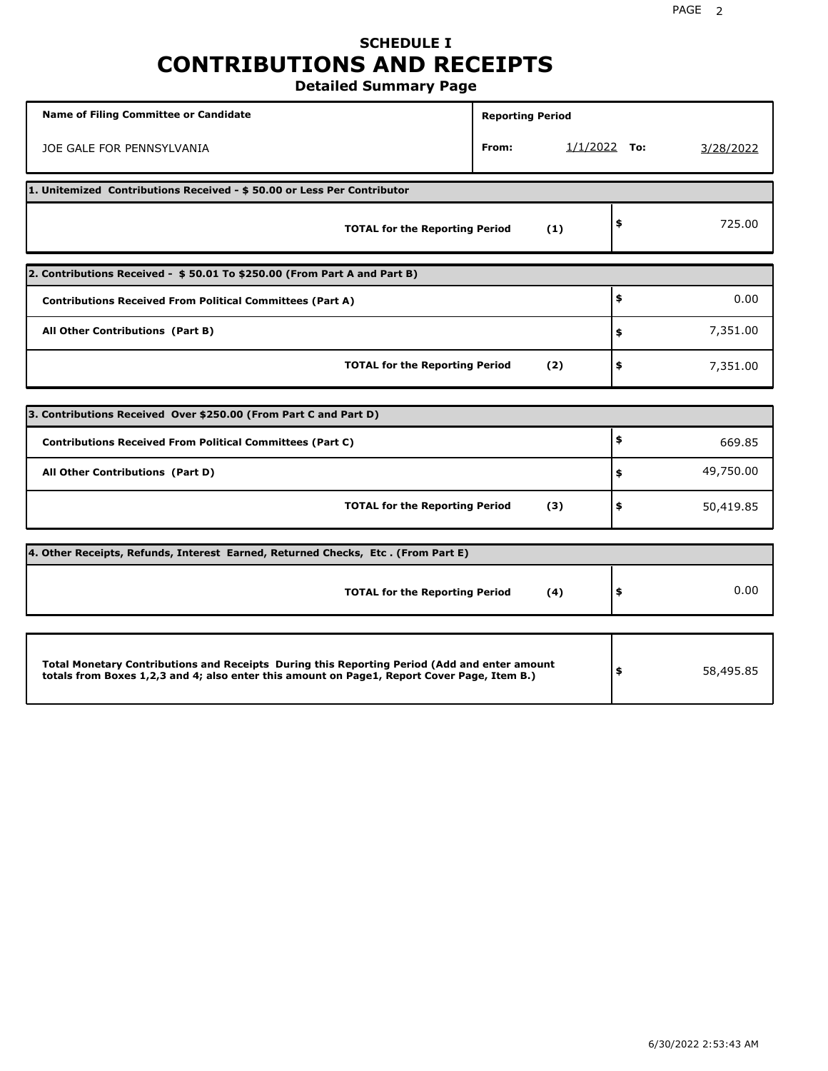# **SCHEDULE I CONTRIBUTIONS AND RECEIPTS**

**Detailed Summary Page**

| <b>Name of Filing Committee or Candidate</b>                                                                                                                                                | <b>Reporting Period</b> |                |                 |
|---------------------------------------------------------------------------------------------------------------------------------------------------------------------------------------------|-------------------------|----------------|-----------------|
| JOE GALE FOR PENNSYLVANIA                                                                                                                                                                   | From:                   | $1/1/2022$ To: | 3/28/2022       |
| 1. Unitemized Contributions Received - \$50.00 or Less Per Contributor                                                                                                                      |                         |                |                 |
| <b>TOTAL for the Reporting Period</b>                                                                                                                                                       |                         | (1)            | \$<br>725.00    |
| 2. Contributions Received - \$50.01 To \$250.00 (From Part A and Part B)                                                                                                                    |                         |                |                 |
| <b>Contributions Received From Political Committees (Part A)</b>                                                                                                                            |                         |                | \$<br>0.00      |
| All Other Contributions (Part B)                                                                                                                                                            |                         |                | \$<br>7,351.00  |
| <b>TOTAL for the Reporting Period</b>                                                                                                                                                       |                         | (2)            | \$<br>7,351.00  |
| 3. Contributions Received Over \$250.00 (From Part C and Part D)                                                                                                                            |                         |                |                 |
| <b>Contributions Received From Political Committees (Part C)</b>                                                                                                                            |                         |                | \$<br>669.85    |
| All Other Contributions (Part D)                                                                                                                                                            |                         |                | \$<br>49,750.00 |
| <b>TOTAL for the Reporting Period</b>                                                                                                                                                       |                         | (3)            | \$<br>50,419.85 |
| 4. Other Receipts, Refunds, Interest Earned, Returned Checks, Etc. (From Part E)                                                                                                            |                         |                |                 |
| <b>TOTAL for the Reporting Period</b>                                                                                                                                                       |                         | (4)            | \$<br>0.00      |
|                                                                                                                                                                                             |                         |                |                 |
| Total Monetary Contributions and Receipts During this Reporting Period (Add and enter amount<br>totals from Boxes 1,2,3 and 4; also enter this amount on Page1, Report Cover Page, Item B.) |                         |                | \$<br>58,495.85 |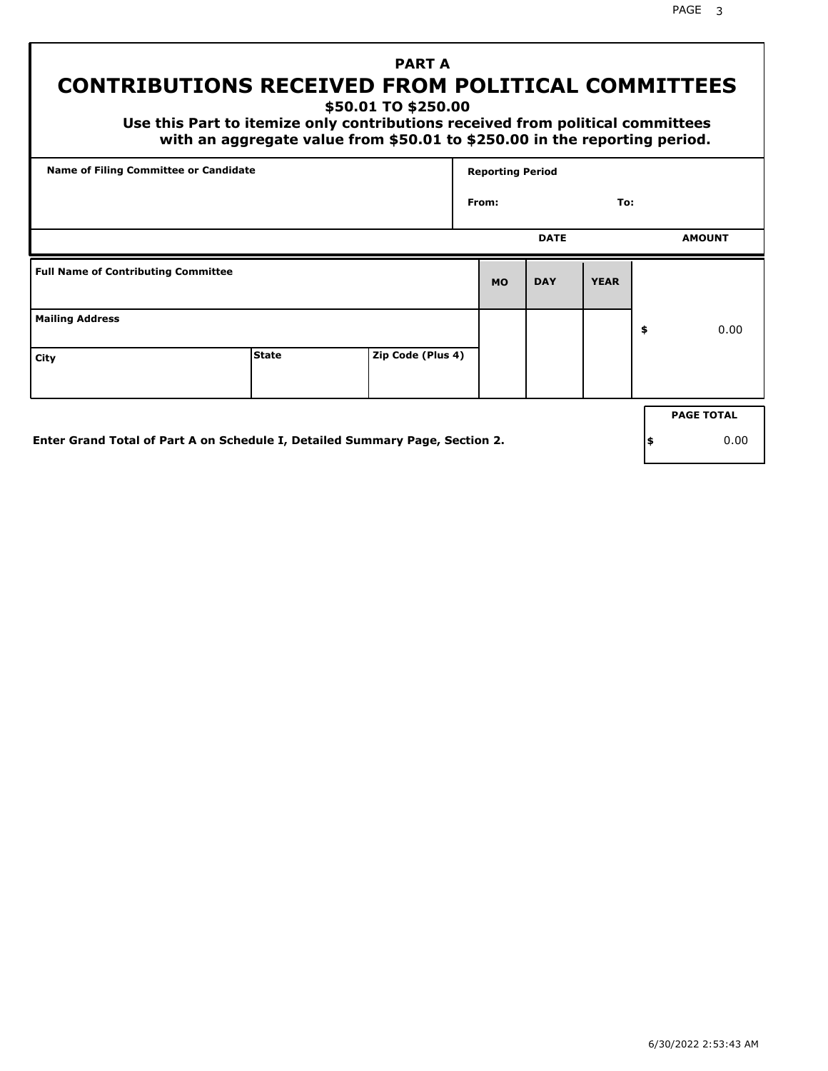# **PART A CONTRIBUTIONS RECEIVED FROM POLITICAL COMMITTEES**

**\$50.01 TO \$250.00**

 **Use this Part to itemize only contributions received from political committees with an aggregate value from \$50.01 to \$250.00 in the reporting period.**

| Name of Filing Committee or Candidate      |              |                   |       | <b>Reporting Period</b> |             |             |                   |
|--------------------------------------------|--------------|-------------------|-------|-------------------------|-------------|-------------|-------------------|
|                                            |              |                   | From: |                         |             | To:         |                   |
|                                            |              |                   |       |                         | <b>DATE</b> |             | <b>AMOUNT</b>     |
| <b>Full Name of Contributing Committee</b> |              |                   |       | <b>MO</b>               | <b>DAY</b>  | <b>YEAR</b> |                   |
| <b>Mailing Address</b>                     |              |                   |       |                         |             |             | \$<br>0.00        |
| City                                       | <b>State</b> | Zip Code (Plus 4) |       |                         |             |             |                   |
|                                            |              |                   |       |                         |             |             | <b>PAGE TOTAL</b> |

**Enter Grand Total of Part A on Schedule I, Detailed Summary Page, Section 2.**

**\$** 0.00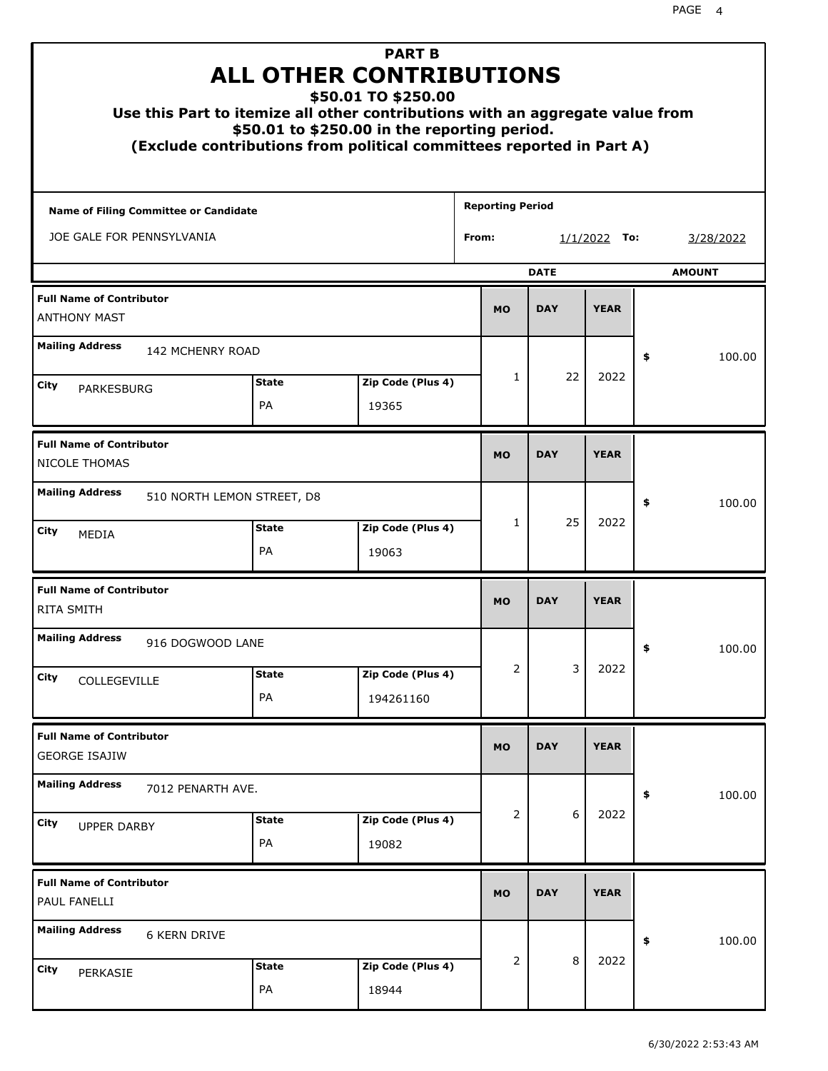| Use this Part to itemize all other contributions with an aggregate value from<br>(Exclude contributions from political committees reported in Part A) | <b>ALL OTHER CONTRIBUTIONS</b><br>\$50.01 to \$250.00 in the reporting period. | <b>PART B</b><br>\$50.01 TO \$250.00 |                         |                |             |                |    |               |
|-------------------------------------------------------------------------------------------------------------------------------------------------------|--------------------------------------------------------------------------------|--------------------------------------|-------------------------|----------------|-------------|----------------|----|---------------|
| <b>Name of Filing Committee or Candidate</b>                                                                                                          |                                                                                |                                      | <b>Reporting Period</b> |                |             |                |    |               |
| JOE GALE FOR PENNSYLVANIA                                                                                                                             |                                                                                |                                      | From:                   |                |             | $1/1/2022$ To: |    | 3/28/2022     |
|                                                                                                                                                       |                                                                                |                                      |                         |                | <b>DATE</b> |                |    | <b>AMOUNT</b> |
| <b>Full Name of Contributor</b><br><b>ANTHONY MAST</b>                                                                                                |                                                                                |                                      |                         | <b>MO</b>      | <b>DAY</b>  | <b>YEAR</b>    |    |               |
| <b>Mailing Address</b><br><b>142 MCHENRY ROAD</b>                                                                                                     |                                                                                |                                      |                         |                |             |                | \$ | 100.00        |
| <b>City</b><br><b>PARKESBURG</b>                                                                                                                      | <b>State</b><br>PA                                                             | Zip Code (Plus 4)<br>19365           |                         | $\mathbf{1}$   | 22          | 2022           |    |               |
| <b>Full Name of Contributor</b><br>NICOLE THOMAS                                                                                                      |                                                                                |                                      |                         | <b>MO</b>      | <b>DAY</b>  | <b>YEAR</b>    |    |               |
| <b>Mailing Address</b><br>510 NORTH LEMON STREET, D8                                                                                                  |                                                                                |                                      |                         |                |             |                | \$ | 100.00        |
| City<br><b>MEDIA</b>                                                                                                                                  | <b>State</b><br>PA                                                             | Zip Code (Plus 4)<br>19063           |                         | $\mathbf{1}$   | 25          | 2022           |    |               |
| <b>Full Name of Contributor</b><br><b>RITA SMITH</b>                                                                                                  |                                                                                |                                      |                         | <b>MO</b>      | <b>DAY</b>  | <b>YEAR</b>    |    |               |
| <b>Mailing Address</b><br>916 DOGWOOD LANE                                                                                                            |                                                                                |                                      |                         |                |             |                | ÷, | 100.00        |
| <b>City</b><br>COLLEGEVILLE                                                                                                                           | <b>State</b><br>PA                                                             | Zip Code (Plus 4)<br>194261160       |                         | 2              | 3           | 2022           |    |               |
| <b>Full Name of Contributor</b><br><b>GEORGE ISAJIW</b>                                                                                               |                                                                                |                                      |                         | <b>MO</b>      | <b>DAY</b>  | <b>YEAR</b>    |    |               |
| <b>Mailing Address</b><br>7012 PENARTH AVE.                                                                                                           |                                                                                |                                      |                         |                |             |                | \$ | 100.00        |
| City<br><b>UPPER DARBY</b>                                                                                                                            | <b>State</b><br>PA                                                             | Zip Code (Plus 4)<br>19082           |                         | $\overline{2}$ | 6           | 2022           |    |               |
| <b>Full Name of Contributor</b><br>PAUL FANELLI                                                                                                       |                                                                                |                                      |                         | <b>MO</b>      | <b>DAY</b>  | <b>YEAR</b>    |    |               |
| <b>Mailing Address</b><br><b>6 KERN DRIVE</b>                                                                                                         |                                                                                |                                      |                         |                |             |                | \$ | 100.00        |
| City<br>PERKASIE                                                                                                                                      | <b>State</b><br>PA                                                             | Zip Code (Plus 4)<br>18944           |                         | 2              | 8           | 2022           |    |               |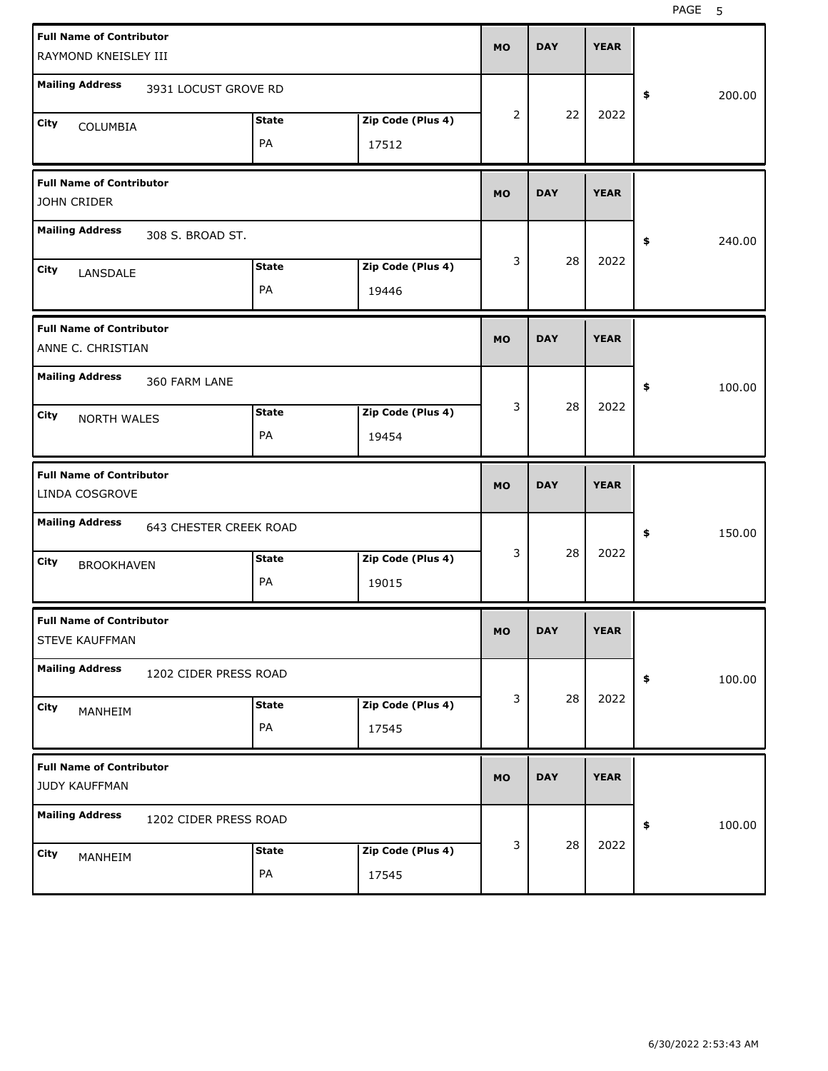| <b>Full Name of Contributor</b><br>RAYMOND KNEISLEY III  |                            | <b>MO</b> | <b>DAY</b> | <b>YEAR</b> |              |
|----------------------------------------------------------|----------------------------|-----------|------------|-------------|--------------|
| <b>Mailing Address</b><br>3931 LOCUST GROVE RD           |                            |           |            |             | \$<br>200.00 |
| <b>State</b><br>City<br>COLUMBIA<br>PA                   | Zip Code (Plus 4)<br>17512 | 2         | 22         | 2022        |              |
| <b>Full Name of Contributor</b><br>JOHN CRIDER           |                            | <b>MO</b> | <b>DAY</b> | <b>YEAR</b> |              |
| <b>Mailing Address</b><br>308 S. BROAD ST.               |                            |           |            |             | 240.00<br>\$ |
| <b>State</b><br>City<br>LANSDALE<br>PA                   | Zip Code (Plus 4)<br>19446 | 3         | 28         | 2022        |              |
| <b>Full Name of Contributor</b><br>ANNE C. CHRISTIAN     |                            | <b>MO</b> | <b>DAY</b> | <b>YEAR</b> |              |
| <b>Mailing Address</b><br>360 FARM LANE                  |                            |           |            |             | 100.00<br>\$ |
| <b>State</b><br>City<br><b>NORTH WALES</b><br>PA         | Zip Code (Plus 4)<br>19454 | 3         | 28         | 2022        |              |
|                                                          |                            |           |            |             |              |
| <b>Full Name of Contributor</b><br>LINDA COSGROVE        |                            | <b>MO</b> | <b>DAY</b> | <b>YEAR</b> |              |
| <b>Mailing Address</b><br>643 CHESTER CREEK ROAD         |                            |           |            |             | 150.00<br>\$ |
| <b>State</b><br>City<br><b>BROOKHAVEN</b><br>PA          | Zip Code (Plus 4)<br>19015 | 3         | 28         | 2022        |              |
| <b>Full Name of Contributor</b><br><b>STEVE KAUFFMAN</b> |                            | <b>MO</b> | <b>DAY</b> | <b>YEAR</b> |              |
| <b>Mailing Address</b><br>1202 CIDER PRESS ROAD          |                            |           |            |             | 100.00<br>\$ |
| <b>State</b><br>City<br>MANHEIM<br>PA                    | Zip Code (Plus 4)<br>17545 | 3         | 28         | 2022        |              |
| <b>Full Name of Contributor</b><br>JUDY KAUFFMAN         |                            | <b>MO</b> | <b>DAY</b> | <b>YEAR</b> |              |
| <b>Mailing Address</b><br>1202 CIDER PRESS ROAD          |                            |           | 28         | 2022        | 100.00<br>\$ |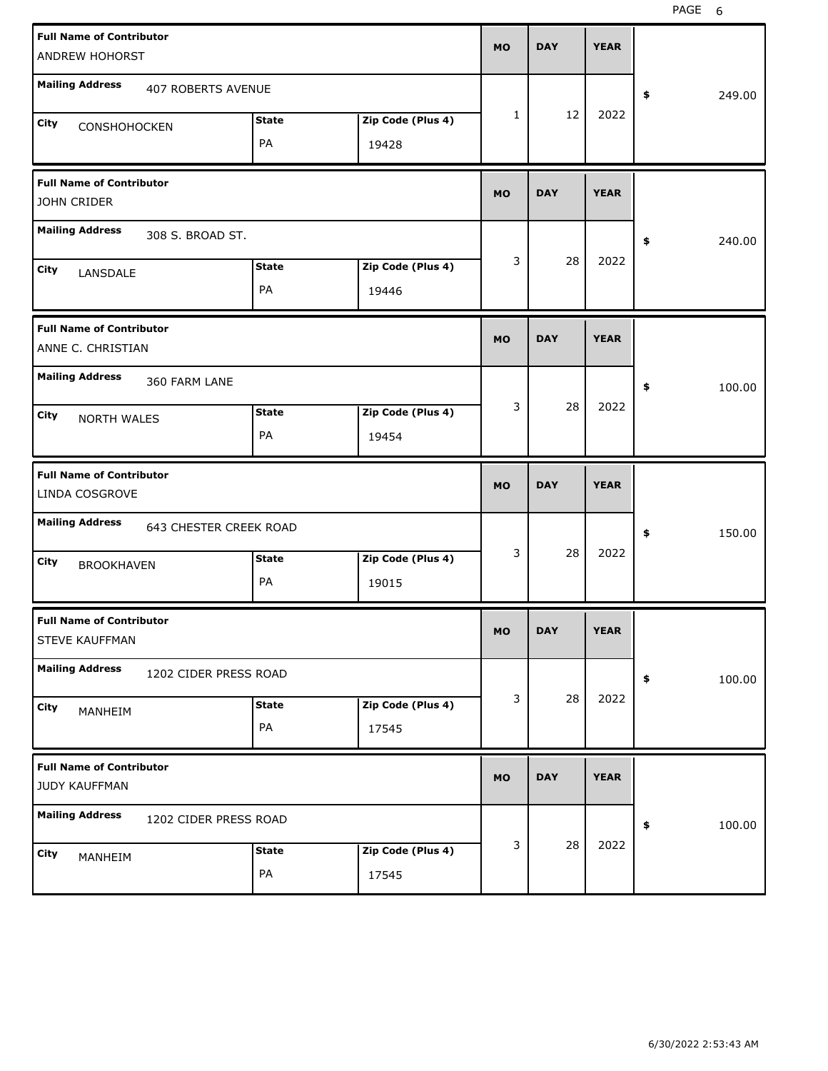| <b>Full Name of Contributor</b><br>ANDREW HOHORST                     |                    |                            | <b>MO</b> | <b>DAY</b> | <b>YEAR</b> |              |
|-----------------------------------------------------------------------|--------------------|----------------------------|-----------|------------|-------------|--------------|
| <b>Mailing Address</b><br><b>407 ROBERTS AVENUE</b>                   |                    |                            |           |            |             | \$<br>249.00 |
| City<br><b>CONSHOHOCKEN</b>                                           | <b>State</b><br>PA | Zip Code (Plus 4)<br>19428 | 1         | 12         | 2022        |              |
| <b>Full Name of Contributor</b><br>JOHN CRIDER                        |                    |                            | <b>MO</b> | <b>DAY</b> | <b>YEAR</b> |              |
| <b>Mailing Address</b><br>308 S. BROAD ST.                            |                    |                            |           |            |             | \$<br>240.00 |
| City<br>LANSDALE                                                      | <b>State</b><br>PA | Zip Code (Plus 4)<br>19446 | 3         | 28         | 2022        |              |
| <b>Full Name of Contributor</b><br>ANNE C. CHRISTIAN                  |                    |                            | <b>MO</b> | <b>DAY</b> | <b>YEAR</b> |              |
| <b>Mailing Address</b><br>360 FARM LANE<br>City<br><b>NORTH WALES</b> | <b>State</b><br>PA | Zip Code (Plus 4)<br>19454 | 3         | 28         | 2022        | \$<br>100.00 |
|                                                                       |                    |                            |           |            |             |              |
| <b>Full Name of Contributor</b><br>LINDA COSGROVE                     |                    |                            | <b>MO</b> | <b>DAY</b> | <b>YEAR</b> |              |
| <b>Mailing Address</b><br>643 CHESTER CREEK ROAD                      |                    |                            |           |            |             | \$<br>150.00 |
| City<br><b>BROOKHAVEN</b>                                             | <b>State</b><br>PA | Zip Code (Plus 4)<br>19015 | 3         | 28         | 2022        |              |
| <b>Full Name of Contributor</b><br>STEVE KAUFFMAN                     |                    |                            | <b>MO</b> | <b>DAY</b> | <b>YEAR</b> |              |
| <b>Mailing Address</b><br>1202 CIDER PRESS ROAD                       |                    |                            |           |            |             | 100.00<br>\$ |
| City<br>MANHEIM                                                       | <b>State</b><br>PA | Zip Code (Plus 4)<br>17545 | 3         | 28         | 2022        |              |
| <b>Full Name of Contributor</b><br>JUDY KAUFFMAN                      |                    |                            | <b>MO</b> | <b>DAY</b> | <b>YEAR</b> |              |
| <b>Mailing Address</b><br>1202 CIDER PRESS ROAD                       |                    |                            |           |            | 2022        | \$<br>100.00 |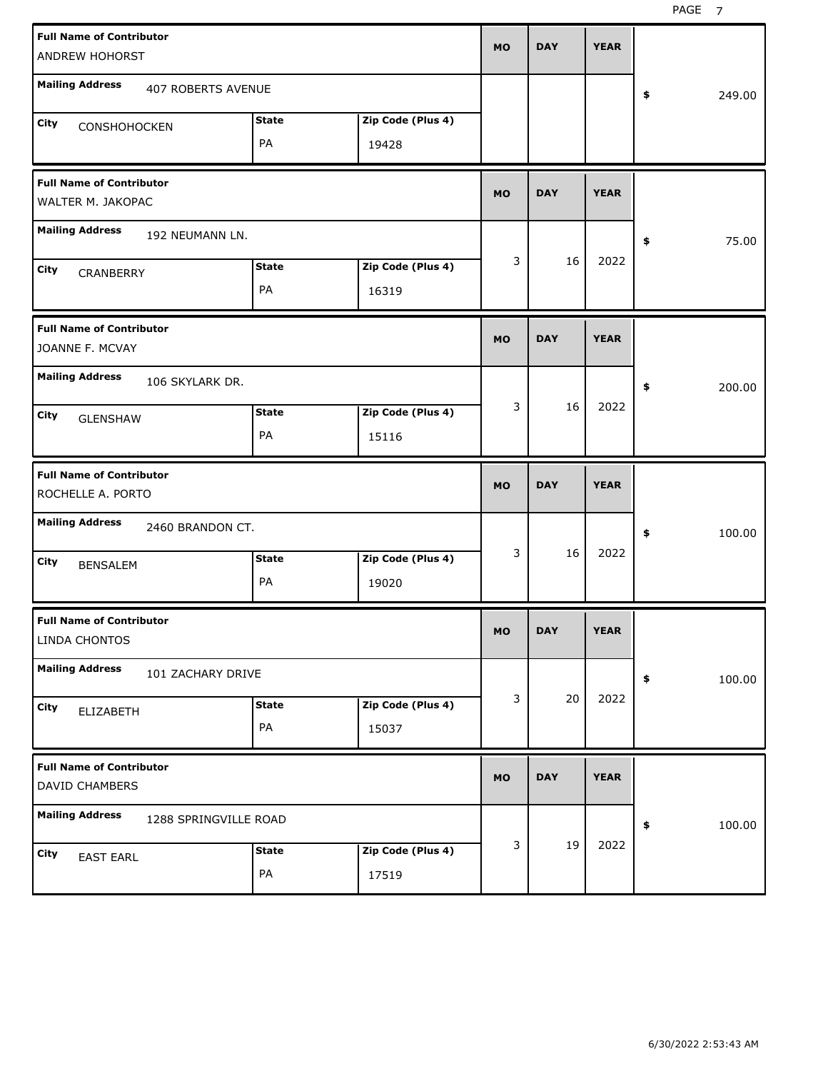PAGE<sub>7</sub>

| <b>Full Name of Contributor</b><br>ANDREW HOHORST    |                           |                    |                            | <b>MO</b> | <b>DAY</b> | <b>YEAR</b> |              |
|------------------------------------------------------|---------------------------|--------------------|----------------------------|-----------|------------|-------------|--------------|
| <b>Mailing Address</b>                               | <b>407 ROBERTS AVENUE</b> |                    |                            |           |            |             | \$<br>249.00 |
| City<br>CONSHOHOCKEN                                 |                           | <b>State</b><br>PA | Zip Code (Plus 4)<br>19428 |           |            |             |              |
| <b>Full Name of Contributor</b><br>WALTER M. JAKOPAC |                           |                    |                            | <b>MO</b> | <b>DAY</b> | <b>YEAR</b> |              |
| <b>Mailing Address</b>                               | 192 NEUMANN LN.           |                    |                            |           |            |             | \$<br>75.00  |
| City<br>CRANBERRY                                    |                           | <b>State</b><br>PA | Zip Code (Plus 4)<br>16319 | 3         | 16         | 2022        |              |
| <b>Full Name of Contributor</b><br>JOANNE F. MCVAY   |                           |                    |                            | <b>MO</b> | <b>DAY</b> | <b>YEAR</b> |              |
| <b>Mailing Address</b>                               | 106 SKYLARK DR.           |                    |                            |           |            |             | \$<br>200.00 |
| City<br><b>GLENSHAW</b>                              |                           | <b>State</b><br>PA | Zip Code (Plus 4)<br>15116 | 3         | 16         | 2022        |              |
|                                                      |                           |                    |                            |           |            |             |              |
| <b>Full Name of Contributor</b><br>ROCHELLE A. PORTO |                           |                    |                            | <b>MO</b> | <b>DAY</b> | <b>YEAR</b> |              |
| <b>Mailing Address</b>                               | 2460 BRANDON CT.          |                    |                            |           |            |             | \$<br>100.00 |
| City<br><b>BENSALEM</b>                              |                           | <b>State</b><br>PA | Zip Code (Plus 4)<br>19020 | 3         | 16         | 2022        |              |
| <b>Full Name of Contributor</b><br>LINDA CHONTOS     |                           |                    |                            | <b>MO</b> | <b>DAY</b> | <b>YEAR</b> |              |
| <b>Mailing Address</b>                               | 101 ZACHARY DRIVE         |                    |                            |           |            |             | \$<br>100.00 |
| City<br>ELIZABETH                                    |                           | <b>State</b><br>PA | Zip Code (Plus 4)<br>15037 | 3         | 20         | 2022        |              |
| <b>Full Name of Contributor</b><br>DAVID CHAMBERS    |                           |                    |                            | <b>MO</b> | <b>DAY</b> | <b>YEAR</b> |              |
| <b>Mailing Address</b>                               | 1288 SPRINGVILLE ROAD     |                    |                            | 3         | 19         | 2022        | \$<br>100.00 |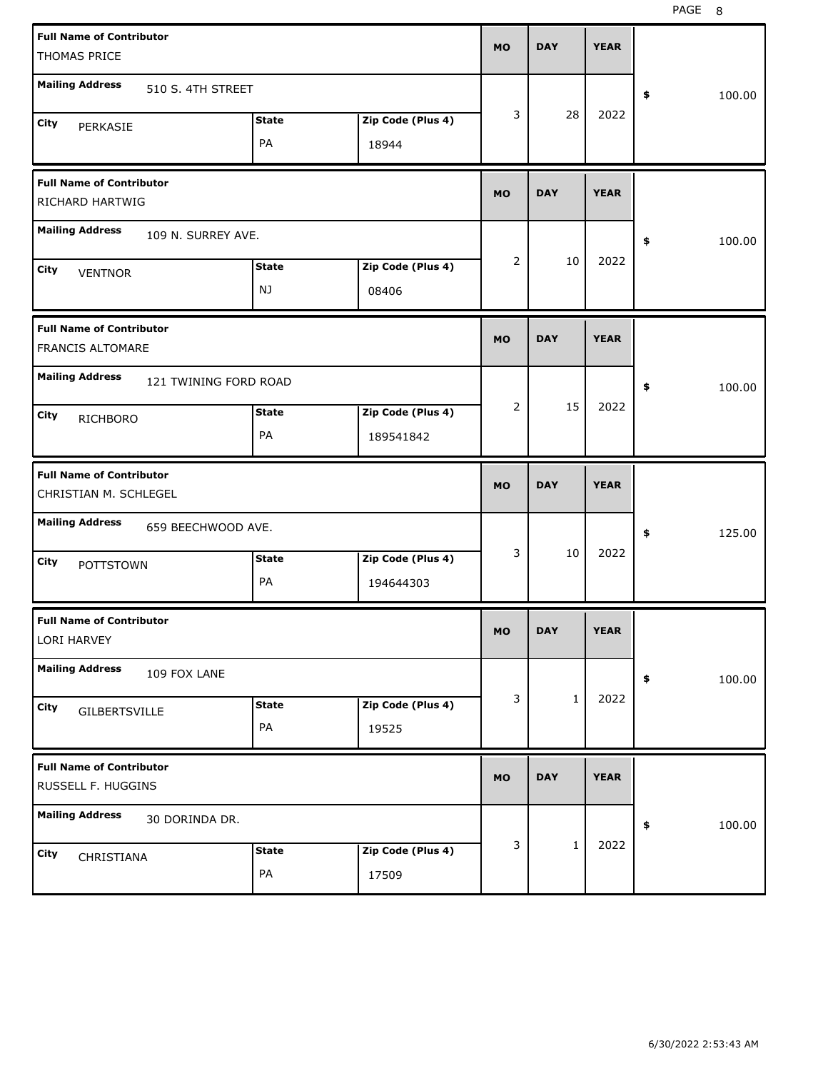| <b>Full Name of Contributor</b><br>THOMAS PRICE            |              |                   | MO        | <b>DAY</b>   | <b>YEAR</b> |              |
|------------------------------------------------------------|--------------|-------------------|-----------|--------------|-------------|--------------|
| <b>Mailing Address</b><br>510 S. 4TH STREET                |              |                   |           |              |             | \$<br>100.00 |
| City<br>PERKASIE                                           | <b>State</b> | Zip Code (Plus 4) | 3         | 28           | 2022        |              |
|                                                            | PA           | 18944             |           |              |             |              |
| <b>Full Name of Contributor</b><br>RICHARD HARTWIG         |              |                   | MO        | <b>DAY</b>   | <b>YEAR</b> |              |
| <b>Mailing Address</b><br>109 N. SURREY AVE.               |              |                   |           |              |             | \$<br>100.00 |
| City<br><b>VENTNOR</b>                                     | <b>State</b> | Zip Code (Plus 4) | 2         | 10           | 2022        |              |
|                                                            | NJ           | 08406             |           |              |             |              |
| <b>Full Name of Contributor</b><br><b>FRANCIS ALTOMARE</b> |              |                   | MO        | <b>DAY</b>   | <b>YEAR</b> |              |
| <b>Mailing Address</b><br>121 TWINING FORD ROAD            |              |                   |           |              |             | \$<br>100.00 |
| <b>City</b><br><b>RICHBORO</b>                             | <b>State</b> | Zip Code (Plus 4) | 2         | 15           | 2022        |              |
|                                                            | PA           | 189541842         |           |              |             |              |
|                                                            |              |                   |           |              |             |              |
| <b>Full Name of Contributor</b><br>CHRISTIAN M. SCHLEGEL   |              |                   | MO        | <b>DAY</b>   | <b>YEAR</b> |              |
| <b>Mailing Address</b><br>659 BEECHWOOD AVE.               |              |                   |           |              |             | 125.00<br>\$ |
| <b>City</b><br><b>POTTSTOWN</b>                            | <b>State</b> | Zip Code (Plus 4) | 3         | 10           | 2022        |              |
|                                                            | PA           | 194644303         |           |              |             |              |
| <b>Full Name of Contributor</b><br>LORI HARVEY             |              |                   | MU.       | DAY          | <b>YEAR</b> |              |
| <b>Mailing Address</b><br>109 FOX LANE                     |              |                   |           |              |             | 100.00<br>\$ |
| City                                                       | <b>State</b> | Zip Code (Plus 4) | 3         | $\mathbf{1}$ | 2022        |              |
| GILBERTSVILLE                                              | PA           | 19525             |           |              |             |              |
| <b>Full Name of Contributor</b><br>RUSSELL F. HUGGINS      |              |                   | <b>MO</b> | <b>DAY</b>   | <b>YEAR</b> |              |
| <b>Mailing Address</b><br>30 DORINDA DR.                   |              |                   |           |              |             | 100.00<br>\$ |
| City<br>CHRISTIANA                                         | <b>State</b> | Zip Code (Plus 4) | 3         | $\mathbf{1}$ | 2022        |              |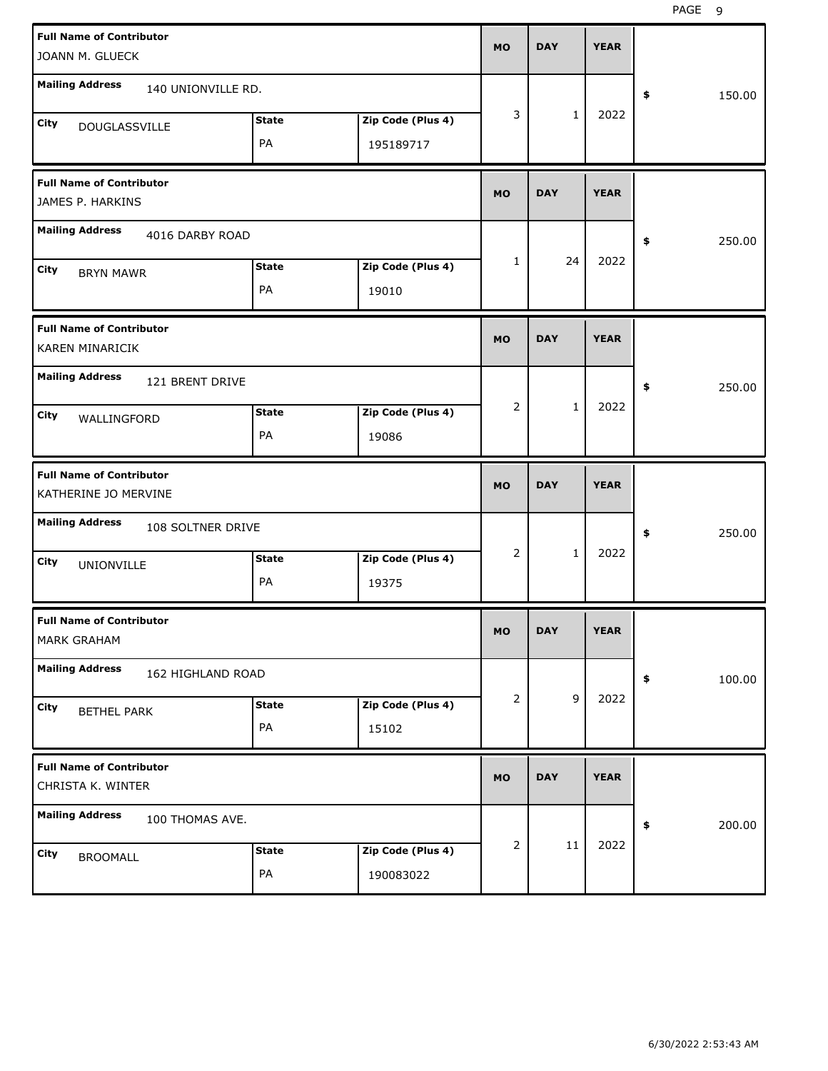| <b>Full Name of Contributor</b>                         |              |                   |           | <b>DAY</b>   | <b>YEAR</b> |              |
|---------------------------------------------------------|--------------|-------------------|-----------|--------------|-------------|--------------|
| JOANN M. GLUECK                                         |              |                   | <b>MO</b> |              |             |              |
| <b>Mailing Address</b><br>140 UNIONVILLE RD.            |              |                   |           |              |             | 150.00<br>\$ |
| City<br><b>DOUGLASSVILLE</b>                            | <b>State</b> | Zip Code (Plus 4) | 3         | $\mathbf{1}$ | 2022        |              |
|                                                         | PA           | 195189717         |           |              |             |              |
| <b>Full Name of Contributor</b><br>JAMES P. HARKINS     |              |                   | <b>MO</b> | <b>DAY</b>   | <b>YEAR</b> |              |
| <b>Mailing Address</b><br>4016 DARBY ROAD               |              |                   |           |              |             | 250.00<br>\$ |
| City<br><b>BRYN MAWR</b>                                | <b>State</b> | Zip Code (Plus 4) | 1         | 24           | 2022        |              |
|                                                         | PA           | 19010             |           |              |             |              |
| <b>Full Name of Contributor</b><br>KAREN MINARICIK      |              |                   | <b>MO</b> | <b>DAY</b>   | <b>YEAR</b> |              |
| <b>Mailing Address</b><br>121 BRENT DRIVE               |              |                   |           |              |             | 250.00<br>\$ |
| City<br>WALLINGFORD                                     | <b>State</b> | Zip Code (Plus 4) | 2         | $\mathbf{1}$ | 2022        |              |
|                                                         | PA           | 19086             |           |              |             |              |
|                                                         |              |                   |           |              |             |              |
| <b>Full Name of Contributor</b><br>KATHERINE JO MERVINE |              |                   | <b>MO</b> | <b>DAY</b>   | <b>YEAR</b> |              |
| <b>Mailing Address</b><br>108 SOLTNER DRIVE             |              |                   |           |              |             | 250.00<br>\$ |
| City                                                    | <b>State</b> | Zip Code (Plus 4) | 2         | $\mathbf{1}$ | 2022        |              |
| UNIONVILLE                                              | PA           | 19375             |           |              |             |              |
| <b>Full Name of Contributor</b><br>MARK GRAHAM          |              |                   | <b>MO</b> | <b>DAY</b>   | <b>YEAR</b> |              |
| <b>Mailing Address</b><br>162 HIGHLAND ROAD             |              |                   |           |              |             | \$<br>100.00 |
| City                                                    | <b>State</b> | Zip Code (Plus 4) | 2         | $\mathsf g$  | 2022        |              |
| <b>BETHEL PARK</b>                                      | PA           | 15102             |           |              |             |              |
| <b>Full Name of Contributor</b><br>CHRISTA K. WINTER    |              |                   | <b>MO</b> | <b>DAY</b>   | <b>YEAR</b> |              |
| <b>Mailing Address</b><br>100 THOMAS AVE.               |              |                   |           |              |             | 200.00<br>\$ |
| City<br><b>BROOMALL</b>                                 | <b>State</b> | Zip Code (Plus 4) | 2         | 11           | 2022        |              |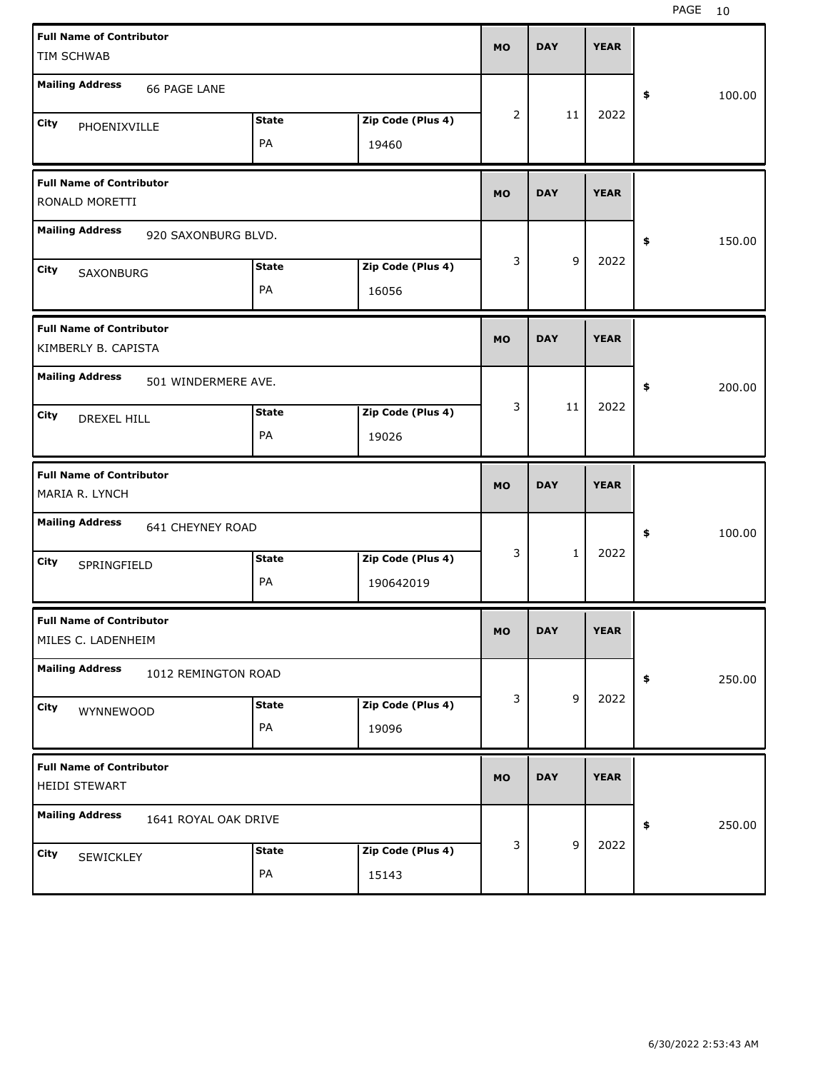| <b>Full Name of Contributor</b><br>TIM SCHWAB          |              |                   | <b>MO</b> | <b>DAY</b>   | <b>YEAR</b> |              |
|--------------------------------------------------------|--------------|-------------------|-----------|--------------|-------------|--------------|
|                                                        |              |                   |           |              |             |              |
| <b>Mailing Address</b><br>66 PAGE LANE                 |              |                   |           |              |             | \$<br>100.00 |
| City<br>PHOENIXVILLE                                   | <b>State</b> | Zip Code (Plus 4) | 2         | 11           | 2022        |              |
|                                                        | PA           | 19460             |           |              |             |              |
| <b>Full Name of Contributor</b><br>RONALD MORETTI      |              |                   | <b>MO</b> | <b>DAY</b>   | <b>YEAR</b> |              |
| <b>Mailing Address</b><br>920 SAXONBURG BLVD.          |              |                   |           |              |             | \$<br>150.00 |
| City<br>SAXONBURG                                      | <b>State</b> | Zip Code (Plus 4) | 3         | 9            | 2022        |              |
|                                                        | PA           | 16056             |           |              |             |              |
| <b>Full Name of Contributor</b><br>KIMBERLY B. CAPISTA |              |                   | <b>MO</b> | <b>DAY</b>   | <b>YEAR</b> |              |
| <b>Mailing Address</b><br>501 WINDERMERE AVE.          |              |                   |           |              |             | \$<br>200.00 |
| City<br>DREXEL HILL                                    | <b>State</b> | Zip Code (Plus 4) | 3         | 11           | 2022        |              |
|                                                        | PA           | 19026             |           |              |             |              |
|                                                        |              |                   |           |              |             |              |
| <b>Full Name of Contributor</b><br>MARIA R. LYNCH      |              |                   | <b>MO</b> | <b>DAY</b>   | <b>YEAR</b> |              |
| <b>Mailing Address</b><br>641 CHEYNEY ROAD             |              |                   |           |              |             | \$<br>100.00 |
| City                                                   | <b>State</b> | Zip Code (Plus 4) | 3         | $\mathbf{1}$ | 2022        |              |
| SPRINGFIELD                                            | PA           | 190642019         |           |              |             |              |
| <b>Full Name of Contributor</b><br>MILES C. LADENHEIM  |              |                   | MO        | <b>DAY</b>   | <b>YEAR</b> |              |
| <b>Mailing Address</b><br>1012 REMINGTON ROAD          |              |                   |           |              |             | 250.00<br>\$ |
| City                                                   | <b>State</b> | Zip Code (Plus 4) | 3         | $\mathsf g$  | 2022        |              |
| WYNNEWOOD                                              | PA           | 19096             |           |              |             |              |
| <b>Full Name of Contributor</b><br>HEIDI STEWART       |              |                   | <b>MO</b> | <b>DAY</b>   | <b>YEAR</b> |              |
| <b>Mailing Address</b><br>1641 ROYAL OAK DRIVE         |              |                   |           |              |             | 250.00<br>\$ |
| City<br>SEWICKLEY                                      | <b>State</b> | Zip Code (Plus 4) | 3         | $\mathsf g$  | 2022        |              |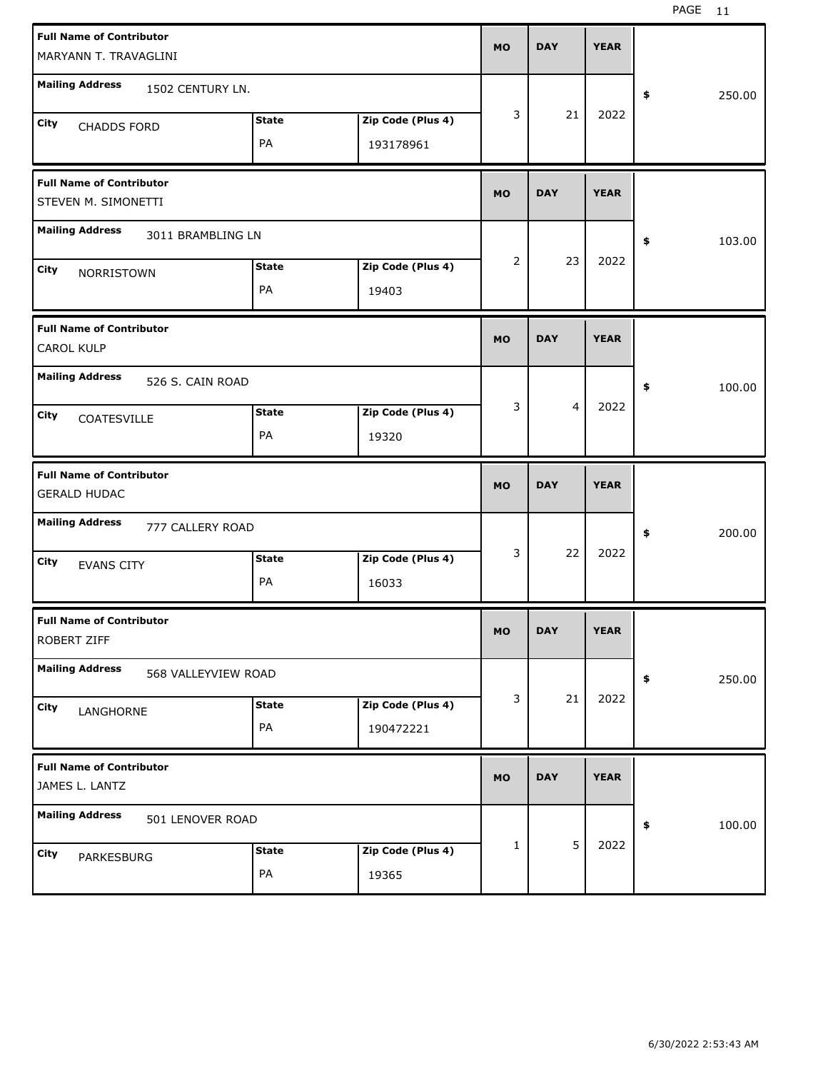| <b>Full Name of Contributor</b>                                               |              |            |             |              |
|-------------------------------------------------------------------------------|--------------|------------|-------------|--------------|
| MARYANN T. TRAVAGLINI                                                         | <b>MO</b>    | <b>DAY</b> | <b>YEAR</b> |              |
| <b>Mailing Address</b>                                                        |              |            |             |              |
| 1502 CENTURY LN.                                                              |              |            |             | 250.00<br>\$ |
| Zip Code (Plus 4)<br><b>State</b><br>City<br><b>CHADDS FORD</b>               | 3            | 21         | 2022        |              |
| PA<br>193178961                                                               |              |            |             |              |
|                                                                               |              |            |             |              |
| <b>Full Name of Contributor</b>                                               |              |            |             |              |
| STEVEN M. SIMONETTI                                                           | <b>MO</b>    | <b>DAY</b> | <b>YEAR</b> |              |
| <b>Mailing Address</b><br>3011 BRAMBLING LN                                   |              |            |             |              |
|                                                                               |              |            |             | \$<br>103.00 |
| Zip Code (Plus 4)<br><b>State</b><br>City<br>NORRISTOWN                       | 2            | 23         | 2022        |              |
| PA<br>19403                                                                   |              |            |             |              |
|                                                                               |              |            |             |              |
| <b>Full Name of Contributor</b>                                               | <b>MO</b>    | <b>DAY</b> | <b>YEAR</b> |              |
| <b>CAROL KULP</b>                                                             |              |            |             |              |
| <b>Mailing Address</b><br>526 S. CAIN ROAD                                    |              |            |             | \$<br>100.00 |
| Zip Code (Plus 4)<br><b>State</b>                                             | 3            | 4          | 2022        |              |
| <b>City</b><br>COATESVILLE                                                    |              |            |             |              |
| PA<br>19320                                                                   |              |            |             |              |
|                                                                               |              |            |             |              |
| <b>Full Name of Contributor</b>                                               |              |            |             |              |
| <b>GERALD HUDAC</b>                                                           | <b>MO</b>    | <b>DAY</b> | <b>YEAR</b> |              |
|                                                                               |              |            |             |              |
| <b>Mailing Address</b><br>777 CALLERY ROAD                                    |              |            |             | \$<br>200.00 |
| Zip Code (Plus 4)<br><b>State</b>                                             | 3            | 22         | 2022        |              |
| City<br><b>EVANS CITY</b><br>PA                                               |              |            |             |              |
| 16033                                                                         |              |            |             |              |
| <b>Full Name of Contributor</b>                                               |              |            |             |              |
| ROBERT ZIFF                                                                   | <b>MO</b>    | <b>DAY</b> | <b>YEAR</b> |              |
| <b>Mailing Address</b>                                                        |              |            |             |              |
| 568 VALLEYVIEW ROAD                                                           |              |            |             | 250.00<br>\$ |
| Zip Code (Plus 4)<br><b>State</b><br>City<br>LANGHORNE                        | 3            | 21         | 2022        |              |
| PA<br>190472221                                                               |              |            |             |              |
|                                                                               |              |            |             |              |
| <b>Full Name of Contributor</b>                                               | <b>MO</b>    | <b>DAY</b> | <b>YEAR</b> |              |
| JAMES L. LANTZ                                                                |              |            |             |              |
| <b>Mailing Address</b><br>501 LENOVER ROAD                                    |              |            |             | \$           |
|                                                                               | $\mathbf{1}$ | 5          | 2022        | 100.00       |
| Zip Code (Plus 4)<br><b>State</b><br><b>City</b><br>PARKESBURG<br>PA<br>19365 |              |            |             |              |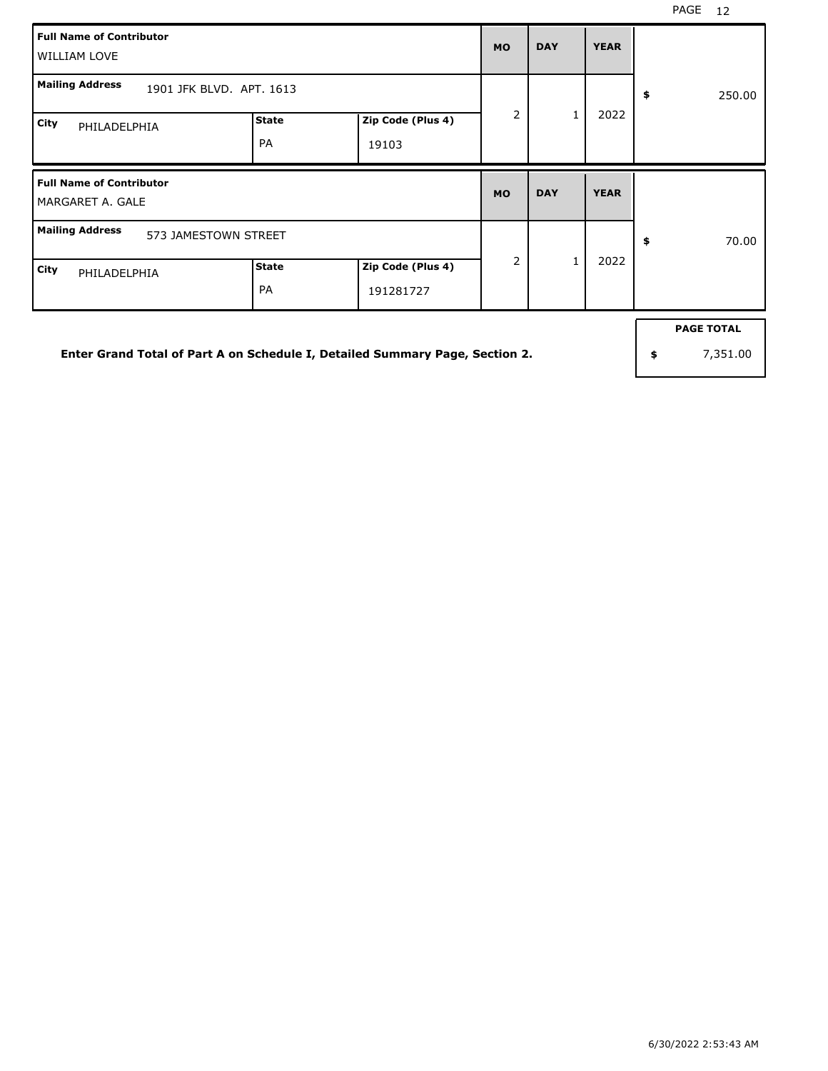| <b>Full Name of Contributor</b><br>WILLIAM LOVE     |                           |                            | <b>MO</b>      | <b>DAY</b> | <b>YEAR</b> |              |
|-----------------------------------------------------|---------------------------|----------------------------|----------------|------------|-------------|--------------|
| <b>Mailing Address</b><br>1901 JFK BLVD. APT. 1613  |                           |                            |                |            |             | 250.00<br>\$ |
| City<br>PHILADELPHIA                                | <b>State</b><br><b>PA</b> | Zip Code (Plus 4)<br>19103 | $\overline{2}$ | 1          | 2022        |              |
|                                                     |                           |                            |                |            |             |              |
| <b>Full Name of Contributor</b><br>MARGARET A. GALE |                           |                            | <b>MO</b>      | <b>DAY</b> | <b>YEAR</b> |              |
| <b>Mailing Address</b><br>573 JAMESTOWN STREET      |                           |                            | $\overline{2}$ | 1          | 2022        | \$<br>70.00  |

**Enter Grand Total of Part A on Schedule I, Detailed Summary Page, Section 2.**

**PAGE TOTAL**

**\$** 7,351.00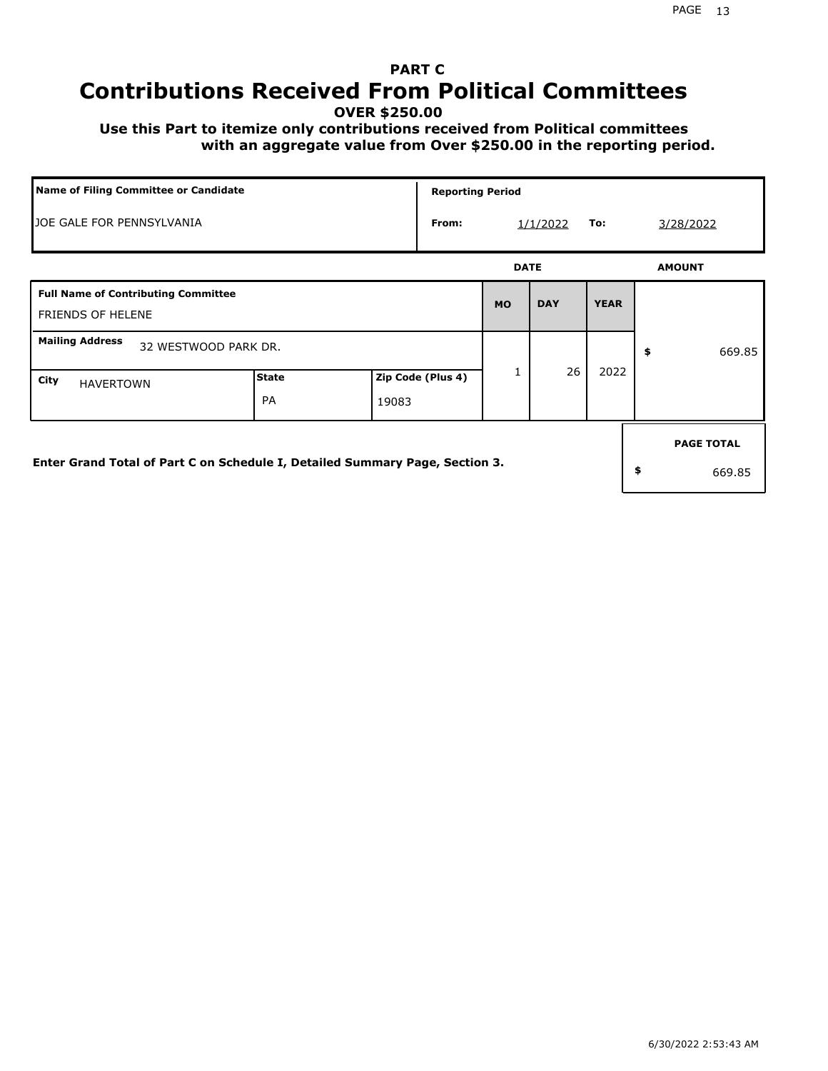# **PART C Contributions Received From Political Committees**

**OVER \$250.00**

 **Use this Part to itemize only contributions received from Political committees with an aggregate value from Over \$250.00 in the reporting period.**

|                                                                              | <b>Name of Filing Committee or Candidate</b> |       |                   |             | <b>Reporting Period</b> |             |    |                             |  |  |  |
|------------------------------------------------------------------------------|----------------------------------------------|-------|-------------------|-------------|-------------------------|-------------|----|-----------------------------|--|--|--|
| JOE GALE FOR PENNSYLVANIA                                                    | From:                                        |       | 1/1/2022          | To:         | 3/28/2022               |             |    |                             |  |  |  |
|                                                                              |                                              |       |                   | <b>DATE</b> |                         |             |    | <b>AMOUNT</b>               |  |  |  |
| <b>Full Name of Contributing Committee</b><br><b>FRIENDS OF HELENE</b>       |                                              |       |                   | <b>MO</b>   | <b>DAY</b>              | <b>YEAR</b> |    |                             |  |  |  |
| <b>Mailing Address</b><br>32 WESTWOOD PARK DR.                               |                                              |       |                   |             |                         |             | \$ | 669.85                      |  |  |  |
| City<br><b>HAVERTOWN</b>                                                     | <b>State</b><br><b>PA</b>                    | 19083 | Zip Code (Plus 4) | 1           | 26                      | 2022        |    |                             |  |  |  |
| Enter Grand Total of Part C on Schedule I, Detailed Summary Page, Section 3. |                                              |       |                   |             |                         |             | \$ | <b>PAGE TOTAL</b><br>669.85 |  |  |  |
|                                                                              |                                              |       |                   |             |                         |             |    |                             |  |  |  |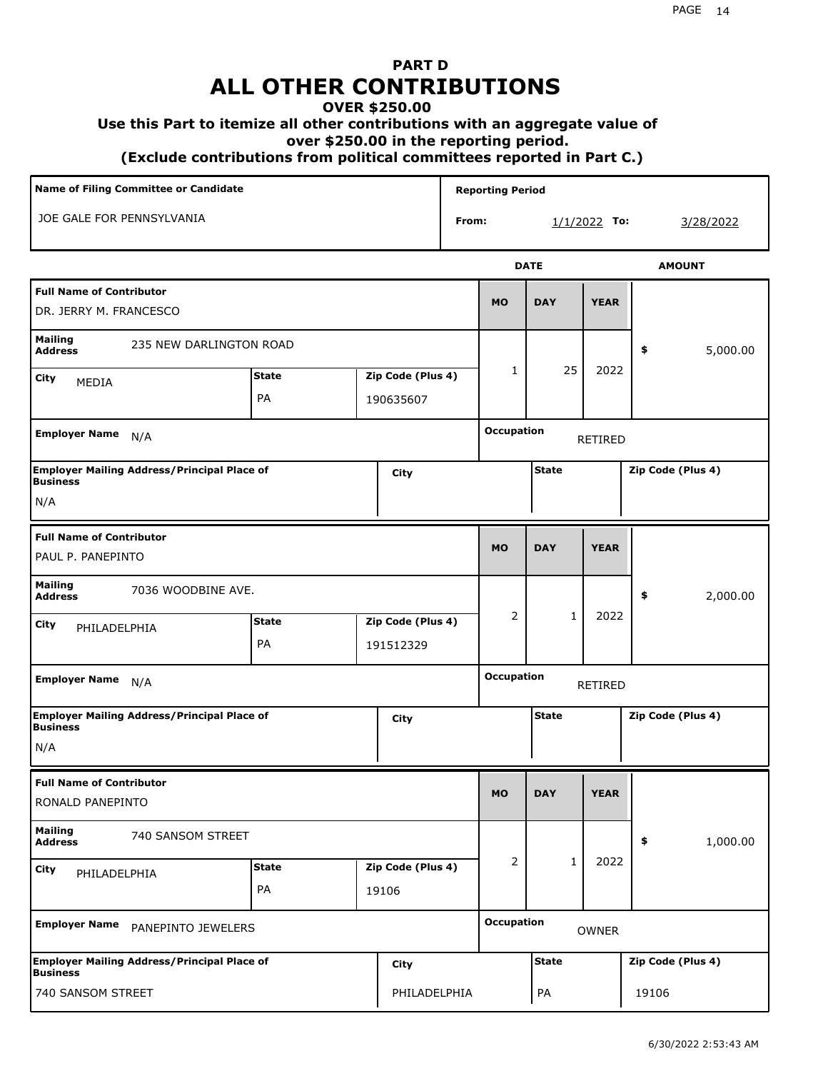# **PART D ALL OTHER CONTRIBUTIONS**

### **OVER \$250.00**

#### **Use this Part to itemize all other contributions with an aggregate value of**

 **over \$250.00 in the reporting period.**

 **(Exclude contributions from political committees reported in Part C.)** 

| Name of Filing Committee or Candidate                                         |                                   |       |                   |                   | <b>Reporting Period</b>           |              |                   |                   |  |
|-------------------------------------------------------------------------------|-----------------------------------|-------|-------------------|-------------------|-----------------------------------|--------------|-------------------|-------------------|--|
| JOE GALE FOR PENNSYLVANIA                                                     |                                   |       |                   | From:             |                                   |              | $1/1/2022$ To:    | 3/28/2022         |  |
|                                                                               |                                   |       |                   |                   |                                   | <b>DATE</b>  |                   | <b>AMOUNT</b>     |  |
| <b>Full Name of Contributor</b><br>DR. JERRY M. FRANCESCO                     |                                   |       |                   |                   | <b>MO</b>                         | <b>DAY</b>   | <b>YEAR</b>       |                   |  |
| <b>Mailing</b><br>235 NEW DARLINGTON ROAD<br><b>Address</b>                   |                                   |       |                   |                   |                                   |              |                   | 5,000.00<br>\$    |  |
| City<br>MEDIA                                                                 | <b>State</b><br>Zip Code (Plus 4) |       |                   | $\mathbf{1}$      | 25                                | 2022         |                   |                   |  |
|                                                                               | PA<br>190635607                   |       |                   |                   |                                   |              |                   |                   |  |
| <b>Employer Name</b><br>N/A                                                   |                                   |       |                   |                   | <b>Occupation</b>                 |              | RETIRED           |                   |  |
| <b>Employer Mailing Address/Principal Place of</b>                            |                                   |       | City              |                   |                                   | <b>State</b> |                   | Zip Code (Plus 4) |  |
| <b>Business</b><br>N/A                                                        |                                   |       |                   |                   |                                   |              |                   |                   |  |
| <b>Full Name of Contributor</b>                                               |                                   |       |                   |                   |                                   |              |                   |                   |  |
| PAUL P. PANEPINTO                                                             |                                   |       |                   |                   | <b>MO</b>                         | <b>DAY</b>   | <b>YEAR</b>       |                   |  |
| Mailing<br>7036 WOODBINE AVE.<br><b>Address</b>                               |                                   |       |                   |                   |                                   |              |                   | \$<br>2,000.00    |  |
| City<br>PHILADELPHIA                                                          | <b>State</b>                      |       | Zip Code (Plus 4) |                   | 2                                 | 1            | 2022              |                   |  |
|                                                                               | PA                                |       | 191512329         |                   |                                   |              |                   |                   |  |
| <b>Employer Name</b><br>N/A                                                   |                                   |       |                   |                   | Occupation<br><b>RETIRED</b>      |              |                   |                   |  |
| <b>Employer Mailing Address/Principal Place of</b><br><b>Business</b>         |                                   |       | City              |                   | <b>State</b><br>Zip Code (Plus 4) |              |                   |                   |  |
| N/A                                                                           |                                   |       |                   |                   |                                   |              |                   |                   |  |
| <b>Full Name of Contributor</b>                                               |                                   |       |                   |                   |                                   |              |                   |                   |  |
| RONALD PANEPINTO                                                              |                                   |       |                   |                   | <b>MO</b>                         | <b>DAY</b>   | <b>YEAR</b>       |                   |  |
| <b>Mailing</b><br>740 SANSOM STREET<br><b>Address</b>                         |                                   |       |                   |                   |                                   |              |                   | 1,000.00<br>\$    |  |
| <b>City</b><br>PHILADELPHIA                                                   | State                             |       | Zip Code (Plus 4) |                   | 2                                 | $\mathbf{1}$ | 2022              |                   |  |
|                                                                               | PA                                | 19106 |                   |                   |                                   |              |                   |                   |  |
| <b>Employer Name</b><br>PANEPINTO JEWELERS                                    |                                   |       |                   | <b>Occupation</b> |                                   | OWNER        |                   |                   |  |
| <b>Employer Mailing Address/Principal Place of</b><br>City<br><b>Business</b> |                                   |       |                   |                   | <b>State</b>                      |              | Zip Code (Plus 4) |                   |  |
| 740 SANSOM STREET                                                             |                                   |       | PHILADELPHIA      |                   |                                   | PA           |                   | 19106             |  |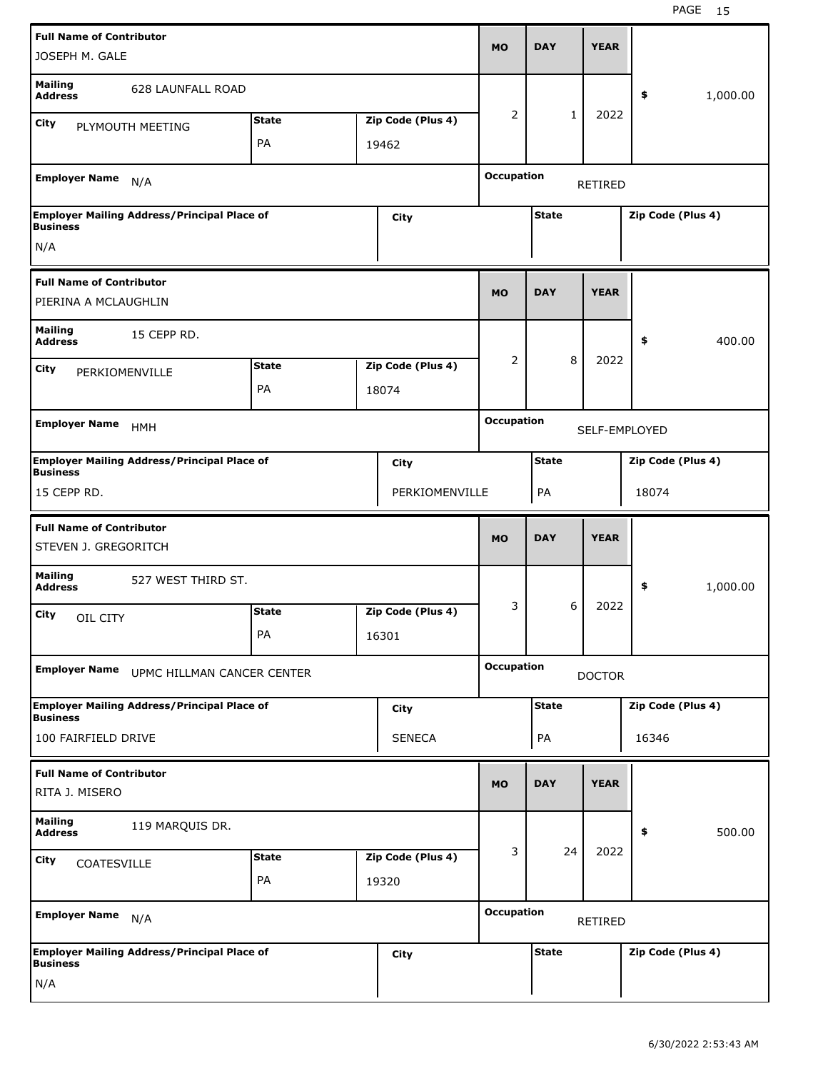| JOSEPH M. GALE                                          | <b>Full Name of Contributor</b>                    |              |  |                   |                              | <b>DAY</b>                        | <b>YEAR</b>   |                   |          |  |
|---------------------------------------------------------|----------------------------------------------------|--------------|--|-------------------|------------------------------|-----------------------------------|---------------|-------------------|----------|--|
| <b>Mailing</b><br><b>Address</b>                        | <b>628 LAUNFALL ROAD</b>                           |              |  |                   |                              |                                   |               | \$                | 1,000.00 |  |
| City                                                    | PLYMOUTH MEETING                                   | <b>State</b> |  | Zip Code (Plus 4) | 2                            | $\mathbf{1}$                      | 2022          |                   |          |  |
|                                                         |                                                    | <b>PA</b>    |  | 19462             |                              |                                   |               |                   |          |  |
| <b>Employer Name</b>                                    | N/A                                                |              |  |                   | <b>Occupation</b><br>RETIRED |                                   |               |                   |          |  |
| <b>Business</b>                                         | <b>Employer Mailing Address/Principal Place of</b> |              |  | City              |                              | <b>State</b><br>Zip Code (Plus 4) |               |                   |          |  |
| N/A                                                     |                                                    |              |  |                   |                              |                                   |               |                   |          |  |
| <b>Full Name of Contributor</b><br>PIERINA A MCLAUGHLIN |                                                    |              |  |                   | <b>MO</b>                    | <b>DAY</b>                        | <b>YEAR</b>   |                   |          |  |
| <b>Mailing</b><br>15 CEPP RD.<br><b>Address</b>         |                                                    |              |  |                   |                              |                                   |               | \$                | 400.00   |  |
| City                                                    | <b>State</b><br>Zip Code (Plus 4)                  |              |  |                   | 2                            | 8                                 | 2022          |                   |          |  |
|                                                         | PERKIOMENVILLE<br>PA<br>18074                      |              |  |                   |                              |                                   |               |                   |          |  |
| <b>Employer Name</b>                                    | <b>HMH</b>                                         |              |  |                   |                              | <b>Occupation</b>                 |               | SELF-EMPLOYED     |          |  |
| Business                                                | <b>Employer Mailing Address/Principal Place of</b> |              |  | City              |                              | <b>State</b><br>Zip Code (Plus 4) |               |                   |          |  |
| 15 CEPP RD.                                             |                                                    |              |  | PERKIOMENVILLE    |                              | PA<br>18074                       |               |                   |          |  |
| <b>Full Name of Contributor</b><br>STEVEN J. GREGORITCH |                                                    |              |  |                   |                              |                                   |               |                   |          |  |
|                                                         |                                                    |              |  |                   | <b>MO</b>                    | <b>DAY</b>                        | <b>YEAR</b>   |                   |          |  |
| Mailing<br><b>Address</b>                               | 527 WEST THIRD ST.                                 |              |  |                   |                              |                                   |               | \$                | 1,000.00 |  |
| City                                                    |                                                    | <b>State</b> |  | Zip Code (Plus 4) | 3                            | 6                                 | 2022          |                   |          |  |
| OIL CITY                                                |                                                    | PA           |  | 16301             |                              |                                   |               |                   |          |  |
| <b>Employer Name</b>                                    | UPMC HILLMAN CANCER CENTER                         |              |  |                   | <b>Occupation</b>            |                                   | <b>DOCTOR</b> |                   |          |  |
| <b>Business</b>                                         | <b>Employer Mailing Address/Principal Place of</b> |              |  | City              |                              | <b>State</b>                      |               | Zip Code (Plus 4) |          |  |
| 100 FAIRFIELD DRIVE                                     |                                                    |              |  | <b>SENECA</b>     |                              | PA                                |               | 16346             |          |  |
| <b>Full Name of Contributor</b><br>RITA J. MISERO       |                                                    |              |  |                   | <b>MO</b>                    | <b>DAY</b>                        | <b>YEAR</b>   |                   |          |  |
| <b>Mailing</b><br><b>Address</b>                        | 119 MARQUIS DR.                                    |              |  |                   |                              |                                   |               | \$                | 500.00   |  |
| <b>City</b>                                             |                                                    | <b>State</b> |  | Zip Code (Plus 4) | 3                            | 24                                | 2022          |                   |          |  |
| COATESVILLE                                             |                                                    | PA           |  | 19320             |                              |                                   |               |                   |          |  |
| <b>Employer Name</b>                                    | N/A                                                |              |  |                   | <b>Occupation</b>            |                                   | RETIRED       |                   |          |  |
| <b>Business</b>                                         | <b>Employer Mailing Address/Principal Place of</b> |              |  | City              |                              | <b>State</b>                      |               | Zip Code (Plus 4) |          |  |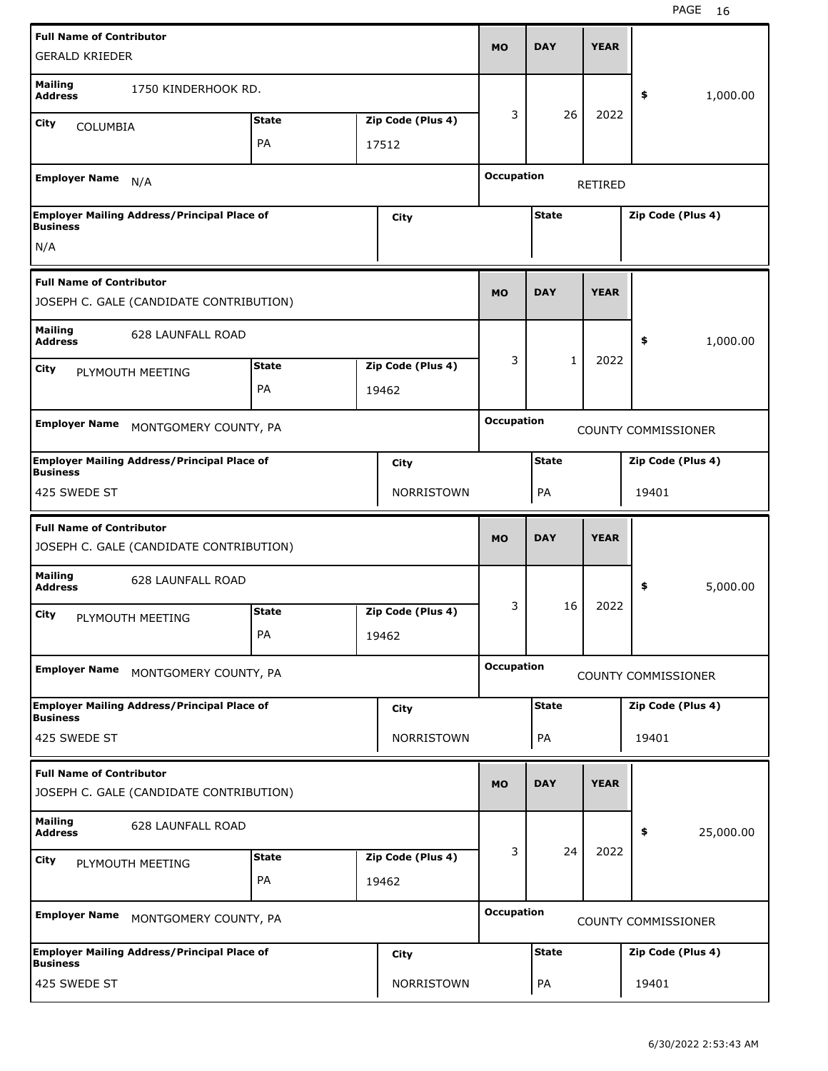|                                                                            | <b>Full Name of Contributor</b><br><b>GERALD KRIEDER</b> |                    |  |                            |                                     | <b>DAY</b>                        | <b>YEAR</b> |                            |           |
|----------------------------------------------------------------------------|----------------------------------------------------------|--------------------|--|----------------------------|-------------------------------------|-----------------------------------|-------------|----------------------------|-----------|
| <b>Mailing</b><br><b>Address</b>                                           | 1750 KINDERHOOK RD.                                      |                    |  |                            |                                     |                                   |             | \$                         | 1,000.00  |
| City<br>COLUMBIA                                                           |                                                          | <b>State</b>       |  | Zip Code (Plus 4)          | 3                                   | 26                                | 2022        |                            |           |
|                                                                            |                                                          | PA                 |  | 17512                      |                                     |                                   |             |                            |           |
| <b>Employer Name</b>                                                       | N/A                                                      |                    |  |                            | <b>Occupation</b><br><b>RETIRED</b> |                                   |             |                            |           |
| <b>Business</b>                                                            | <b>Employer Mailing Address/Principal Place of</b>       |                    |  | City                       | Zip Code (Plus 4)<br><b>State</b>   |                                   |             |                            |           |
| N/A                                                                        |                                                          |                    |  |                            |                                     |                                   |             |                            |           |
| <b>Full Name of Contributor</b><br>JOSEPH C. GALE (CANDIDATE CONTRIBUTION) |                                                          |                    |  |                            | <b>MO</b>                           | <b>DAY</b>                        | <b>YEAR</b> |                            |           |
| <b>Mailing</b><br><b>628 LAUNFALL ROAD</b><br><b>Address</b>               |                                                          |                    |  |                            |                                     |                                   |             | \$                         | 1,000.00  |
| <b>State</b><br>Zip Code (Plus 4)<br>City                                  |                                                          |                    |  | 3                          | 1                                   | 2022                              |             |                            |           |
| PLYMOUTH MEETING<br>PA<br>19462                                            |                                                          |                    |  |                            |                                     |                                   |             |                            |           |
| <b>Employer Name</b><br>MONTGOMERY COUNTY, PA                              |                                                          |                    |  |                            | <b>Occupation</b>                   |                                   |             | <b>COUNTY COMMISSIONER</b> |           |
| <b>Business</b>                                                            | <b>Employer Mailing Address/Principal Place of</b>       |                    |  | City                       |                                     | <b>State</b><br>Zip Code (Plus 4) |             |                            |           |
| 425 SWEDE ST                                                               |                                                          |                    |  | <b>NORRISTOWN</b>          |                                     | PA                                |             | 19401                      |           |
| <b>Full Name of Contributor</b><br>JOSEPH C. GALE (CANDIDATE CONTRIBUTION) |                                                          |                    |  |                            |                                     |                                   |             |                            |           |
|                                                                            |                                                          |                    |  |                            | <b>MO</b>                           | <b>DAY</b>                        | <b>YEAR</b> |                            |           |
| <b>Mailing</b><br><b>Address</b>                                           | <b>628 LAUNFALL ROAD</b>                                 |                    |  |                            |                                     |                                   |             | \$                         | 5,000.00  |
| City                                                                       | PLYMOUTH MEETING                                         | <b>State</b><br>PA |  | Zip Code (Plus 4)<br>19462 | 3                                   | 16                                | 2022        |                            |           |
| <b>Employer Name</b>                                                       | MONTGOMERY COUNTY, PA                                    |                    |  |                            | <b>Occupation</b>                   |                                   |             | <b>COUNTY COMMISSIONER</b> |           |
| <b>Business</b>                                                            | <b>Employer Mailing Address/Principal Place of</b>       |                    |  | City                       |                                     | <b>State</b>                      |             | Zip Code (Plus 4)          |           |
| 425 SWEDE ST                                                               |                                                          |                    |  | NORRISTOWN                 |                                     | PA                                |             | 19401                      |           |
| <b>Full Name of Contributor</b>                                            | JOSEPH C. GALE (CANDIDATE CONTRIBUTION)                  |                    |  |                            | <b>MO</b>                           | <b>DAY</b>                        | <b>YEAR</b> |                            |           |
| <b>Mailing</b><br><b>Address</b>                                           | 628 LAUNFALL ROAD                                        |                    |  |                            |                                     |                                   |             | \$                         | 25,000.00 |
| City                                                                       | PLYMOUTH MEETING                                         | <b>State</b>       |  | Zip Code (Plus 4)          | 3                                   | 24                                | 2022        |                            |           |
|                                                                            |                                                          | PA                 |  | 19462                      |                                     |                                   |             |                            |           |
| <b>Employer Name</b>                                                       | MONTGOMERY COUNTY, PA                                    |                    |  |                            | <b>Occupation</b>                   |                                   |             | <b>COUNTY COMMISSIONER</b> |           |
| <b>Business</b>                                                            | <b>Employer Mailing Address/Principal Place of</b>       |                    |  | <b>City</b>                |                                     | <b>State</b>                      |             | Zip Code (Plus 4)          |           |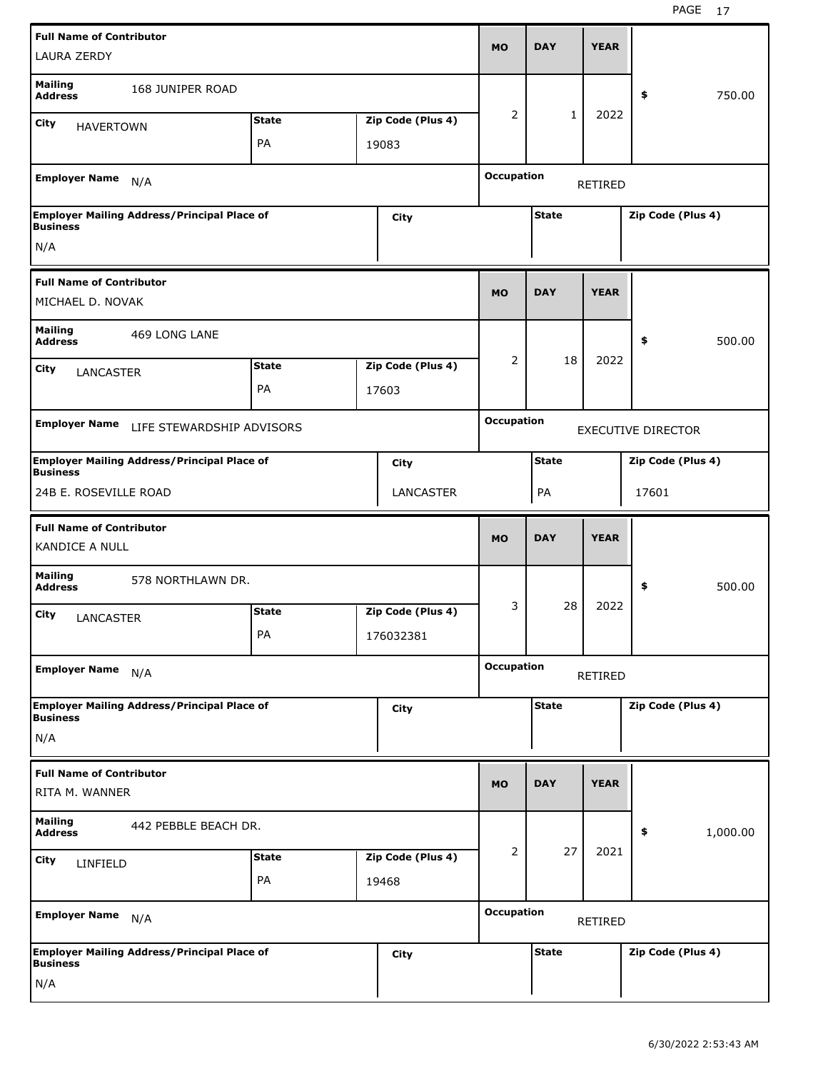| <b>LAURA ZERDY</b>                                  | <b>Full Name of Contributor</b>                    |              |  |                   |                              | <b>DAY</b>                        | <b>YEAR</b> |                           |          |
|-----------------------------------------------------|----------------------------------------------------|--------------|--|-------------------|------------------------------|-----------------------------------|-------------|---------------------------|----------|
| <b>Mailing</b><br><b>Address</b>                    | 168 JUNIPER ROAD                                   |              |  |                   |                              |                                   |             | \$                        | 750.00   |
| City<br><b>HAVERTOWN</b>                            |                                                    | <b>State</b> |  | Zip Code (Plus 4) | 2                            | $\mathbf{1}$                      | 2022        |                           |          |
|                                                     |                                                    | PA           |  | 19083             |                              |                                   |             |                           |          |
| <b>Employer Name</b>                                | N/A                                                |              |  |                   | <b>Occupation</b><br>RETIRED |                                   |             |                           |          |
| <b>Business</b>                                     | <b>Employer Mailing Address/Principal Place of</b> |              |  | City              |                              | <b>State</b><br>Zip Code (Plus 4) |             |                           |          |
| N/A                                                 |                                                    |              |  |                   |                              |                                   |             |                           |          |
| <b>Full Name of Contributor</b><br>MICHAEL D. NOVAK |                                                    |              |  |                   | <b>MO</b>                    | <b>DAY</b>                        | <b>YEAR</b> |                           |          |
| <b>Mailing</b><br>469 LONG LANE<br><b>Address</b>   |                                                    |              |  |                   |                              |                                   |             | \$                        | 500.00   |
| City                                                | <b>State</b><br>Zip Code (Plus 4)                  |              |  |                   |                              | 18                                | 2022        |                           |          |
|                                                     | <b>LANCASTER</b><br>PA<br>17603                    |              |  |                   |                              |                                   |             |                           |          |
| <b>Employer Name</b>                                | LIFE STEWARDSHIP ADVISORS                          |              |  |                   |                              |                                   |             | <b>EXECUTIVE DIRECTOR</b> |          |
| <b>Business</b>                                     | <b>Employer Mailing Address/Principal Place of</b> |              |  | City              |                              | <b>State</b><br>Zip Code (Plus 4) |             |                           |          |
| 24B E. ROSEVILLE ROAD                               |                                                    |              |  | <b>LANCASTER</b>  |                              | PA                                |             | 17601                     |          |
| <b>Full Name of Contributor</b>                     |                                                    |              |  |                   |                              |                                   |             |                           |          |
| <b>KANDICE A NULL</b>                               |                                                    |              |  |                   | <b>MO</b>                    | <b>DAY</b>                        | <b>YEAR</b> |                           |          |
| <b>Mailing</b><br><b>Address</b>                    | 578 NORTHLAWN DR.                                  |              |  |                   |                              |                                   |             | \$                        | 500.00   |
| City                                                |                                                    | <b>State</b> |  | Zip Code (Plus 4) | 3                            | 28                                | 2022        |                           |          |
| <b>LANCASTER</b>                                    |                                                    | PA           |  | 176032381         |                              |                                   |             |                           |          |
| <b>Employer Name</b>                                | N/A                                                |              |  |                   | <b>Occupation</b>            |                                   | RETIRED     |                           |          |
| <b>Business</b>                                     | <b>Employer Mailing Address/Principal Place of</b> |              |  | City              |                              | <b>State</b>                      |             | Zip Code (Plus 4)         |          |
| N/A                                                 |                                                    |              |  |                   |                              |                                   |             |                           |          |
| <b>Full Name of Contributor</b><br>RITA M. WANNER   |                                                    |              |  |                   | <b>MO</b>                    | <b>DAY</b>                        | <b>YEAR</b> |                           |          |
| <b>Mailing</b><br><b>Address</b>                    | 442 PEBBLE BEACH DR.                               |              |  |                   |                              |                                   |             | \$                        | 1,000.00 |
|                                                     |                                                    | <b>State</b> |  | Zip Code (Plus 4) | 2                            | 27                                | 2021        |                           |          |
| <b>City</b><br>LINFIELD                             |                                                    | PA           |  | 19468             |                              |                                   |             |                           |          |
| <b>Employer Name</b>                                | N/A                                                |              |  |                   | <b>Occupation</b>            |                                   | RETIRED     |                           |          |
| <b>Business</b>                                     | <b>Employer Mailing Address/Principal Place of</b> |              |  | <b>City</b>       |                              | <b>State</b>                      |             | Zip Code (Plus 4)         |          |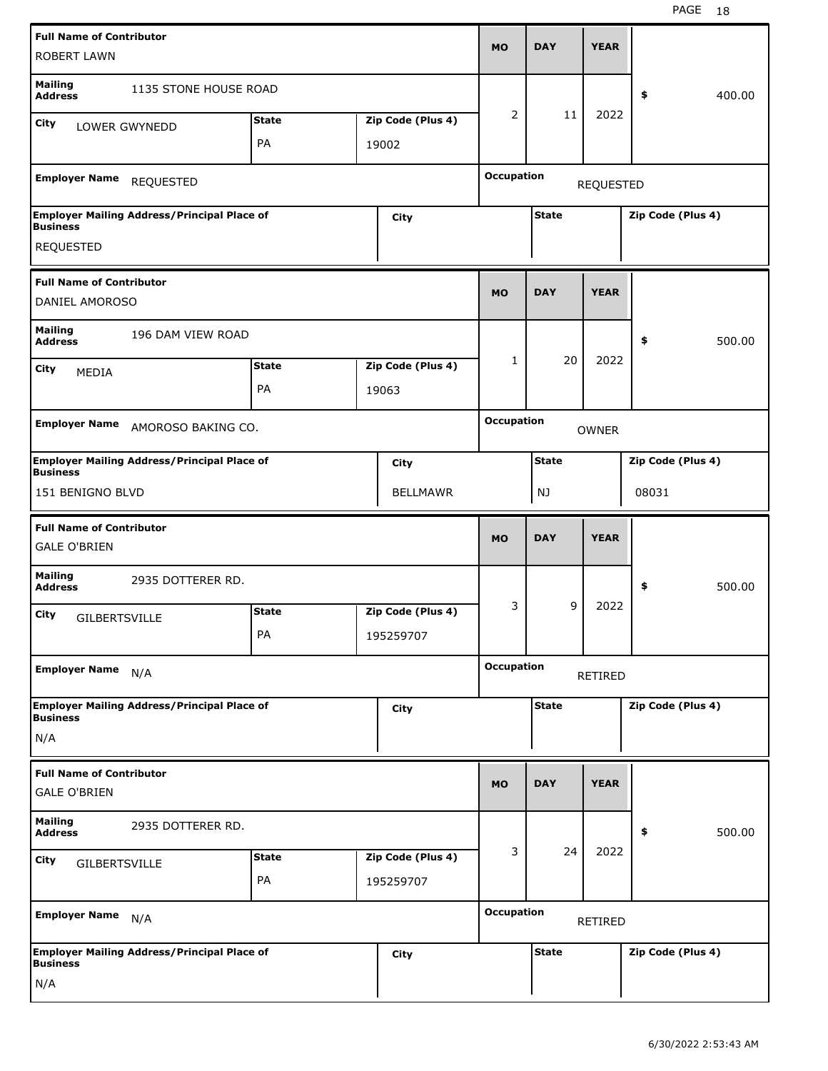| <b>ROBERT LAWN</b>                                     | <b>Full Name of Contributor</b>                    |              |  |                   |                   | <b>DAY</b>                            | <b>YEAR</b>    |                   |        |  |
|--------------------------------------------------------|----------------------------------------------------|--------------|--|-------------------|-------------------|---------------------------------------|----------------|-------------------|--------|--|
| <b>Mailing</b><br><b>Address</b>                       | 1135 STONE HOUSE ROAD                              |              |  |                   |                   |                                       |                | \$                | 400.00 |  |
| City                                                   | LOWER GWYNEDD                                      | <b>State</b> |  | Zip Code (Plus 4) | 2                 | 11                                    | 2022           |                   |        |  |
|                                                        |                                                    | PA           |  | 19002             |                   |                                       |                |                   |        |  |
| <b>Employer Name</b>                                   | <b>REQUESTED</b>                                   |              |  |                   |                   | <b>Occupation</b><br><b>REQUESTED</b> |                |                   |        |  |
| <b>Business</b>                                        | <b>Employer Mailing Address/Principal Place of</b> |              |  | City              |                   | <b>State</b><br>Zip Code (Plus 4)     |                |                   |        |  |
| <b>REQUESTED</b>                                       |                                                    |              |  |                   |                   |                                       |                |                   |        |  |
| <b>Full Name of Contributor</b><br>DANIEL AMOROSO      |                                                    |              |  |                   | <b>MO</b>         | <b>DAY</b>                            | <b>YEAR</b>    |                   |        |  |
|                                                        |                                                    |              |  |                   |                   |                                       |                |                   |        |  |
| <b>Mailing</b><br>196 DAM VIEW ROAD<br><b>Address</b>  |                                                    |              |  |                   |                   |                                       |                | \$                | 500.00 |  |
| City<br>MEDIA                                          | <b>State</b><br>Zip Code (Plus 4)                  |              |  |                   | 1                 | 20                                    | 2022           |                   |        |  |
|                                                        | PA<br>19063                                        |              |  |                   |                   |                                       |                |                   |        |  |
| <b>Employer Name</b>                                   | AMOROSO BAKING CO.                                 |              |  |                   |                   | <b>Occupation</b>                     | <b>OWNER</b>   |                   |        |  |
|                                                        | <b>Employer Mailing Address/Principal Place of</b> |              |  | City              |                   | <b>State</b><br>Zip Code (Plus 4)     |                |                   |        |  |
| Business<br>151 BENIGNO BLVD                           |                                                    |              |  | <b>BELLMAWR</b>   |                   | NJ                                    |                | 08031             |        |  |
|                                                        |                                                    |              |  |                   |                   |                                       |                |                   |        |  |
| <b>Full Name of Contributor</b>                        |                                                    |              |  |                   |                   |                                       |                |                   |        |  |
| <b>GALE O'BRIEN</b>                                    |                                                    |              |  |                   | <b>MO</b>         | <b>DAY</b>                            | <b>YEAR</b>    |                   |        |  |
| <b>Mailing</b><br><b>Address</b>                       | 2935 DOTTERER RD.                                  |              |  |                   |                   |                                       |                | \$                | 500.00 |  |
| City                                                   |                                                    | <b>State</b> |  | Zip Code (Plus 4) | 3                 | 9                                     | 2022           |                   |        |  |
| <b>GILBERTSVILLE</b>                                   |                                                    | PA           |  | 195259707         |                   |                                       |                |                   |        |  |
| <b>Employer Name</b>                                   | N/A                                                |              |  |                   | <b>Occupation</b> |                                       | <b>RETIRED</b> |                   |        |  |
|                                                        | <b>Employer Mailing Address/Principal Place of</b> |              |  | City              |                   | <b>State</b>                          |                | Zip Code (Plus 4) |        |  |
| <b>Business</b><br>N/A                                 |                                                    |              |  |                   |                   |                                       |                |                   |        |  |
| <b>Full Name of Contributor</b><br><b>GALE O'BRIEN</b> |                                                    |              |  |                   | <b>MO</b>         | <b>DAY</b>                            | <b>YEAR</b>    |                   |        |  |
| <b>Mailing</b><br><b>Address</b>                       | 2935 DOTTERER RD.                                  |              |  |                   |                   |                                       |                | \$                | 500.00 |  |
|                                                        |                                                    | <b>State</b> |  | Zip Code (Plus 4) | 3                 | 24                                    | 2022           |                   |        |  |
| <b>City</b><br><b>GILBERTSVILLE</b>                    |                                                    | PA           |  | 195259707         |                   |                                       |                |                   |        |  |
| <b>Employer Name</b>                                   | N/A                                                |              |  |                   | <b>Occupation</b> |                                       | RETIRED        |                   |        |  |
| <b>Business</b>                                        | <b>Employer Mailing Address/Principal Place of</b> |              |  | City              |                   | <b>State</b>                          |                | Zip Code (Plus 4) |        |  |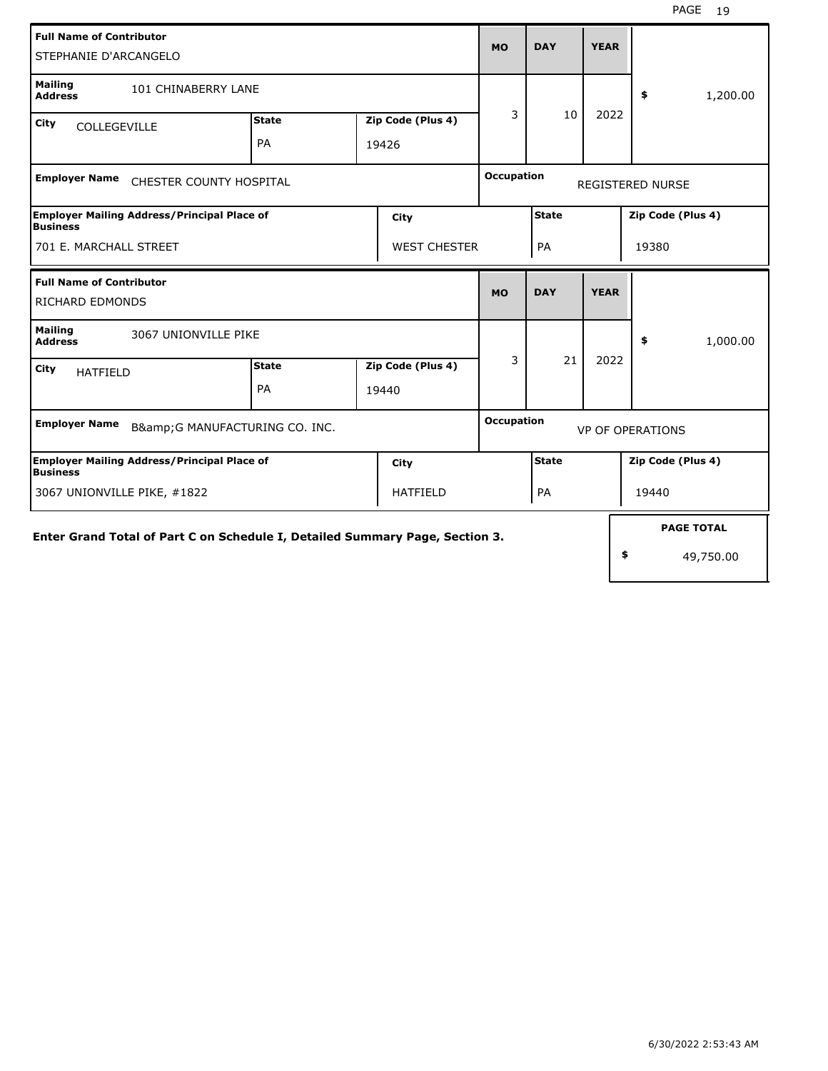| <b>Full Name of Contributor</b><br>STEPHANIE D'ARCANGELO                      |              |  |                   |                                              |                   | <b>YEAR</b> |    |                         |
|-------------------------------------------------------------------------------|--------------|--|-------------------|----------------------------------------------|-------------------|-------------|----|-------------------------|
| <b>Mailing</b><br>101 CHINABERRY LANE<br><b>Address</b>                       |              |  |                   |                                              |                   |             |    | \$<br>1,200.00          |
| City<br>COLLEGEVILLE                                                          | <b>State</b> |  | Zip Code (Plus 4) | 3                                            | 10                | 2022        |    |                         |
|                                                                               | PA<br>19426  |  |                   |                                              |                   |             |    |                         |
| <b>Employer Name</b><br>CHESTER COUNTY HOSPITAL                               |              |  |                   |                                              | <b>Occupation</b> |             |    | <b>REGISTERED NURSE</b> |
| <b>Employer Mailing Address/Principal Place of</b><br>City<br><b>Business</b> |              |  |                   |                                              | <b>State</b>      |             |    | Zip Code (Plus 4)       |
| 701 E. MARCHALL STREET<br><b>WEST CHESTER</b>                                 |              |  |                   |                                              | PA                |             |    | 19380                   |
| <b>Full Name of Contributor</b>                                               |              |  |                   | <b>MO</b>                                    | <b>DAY</b>        | <b>YEAR</b> |    |                         |
| <b>RICHARD EDMONDS</b>                                                        |              |  |                   |                                              |                   |             |    |                         |
| <b>Mailing</b><br>3067 UNIONVILLE PIKE<br><b>Address</b>                      |              |  |                   |                                              |                   |             |    | \$<br>1,000.00          |
| City<br><b>HATFIELD</b>                                                       | <b>State</b> |  | Zip Code (Plus 4) | 3                                            | 21                | 2022        |    |                         |
|                                                                               | PA           |  | 19440             |                                              |                   |             |    |                         |
| <b>Employer Name</b><br>B&G MANUFACTURING CO. INC.                            |              |  |                   | <b>Occupation</b><br><b>VP OF OPERATIONS</b> |                   |             |    |                         |
| <b>Employer Mailing Address/Principal Place of</b><br>Business                |              |  | City              |                                              | <b>State</b>      |             |    | Zip Code (Plus 4)       |
| 3067 UNIONVILLE PIKE, #1822<br><b>HATFIELD</b>                                |              |  |                   |                                              | PA                |             |    | 19440                   |
|                                                                               |              |  |                   |                                              |                   |             |    | <b>PAGE TOTAL</b>       |
| Enter Grand Total of Part C on Schedule I, Detailed Summary Page, Section 3.  |              |  |                   |                                              |                   |             | \$ | 49,750.00               |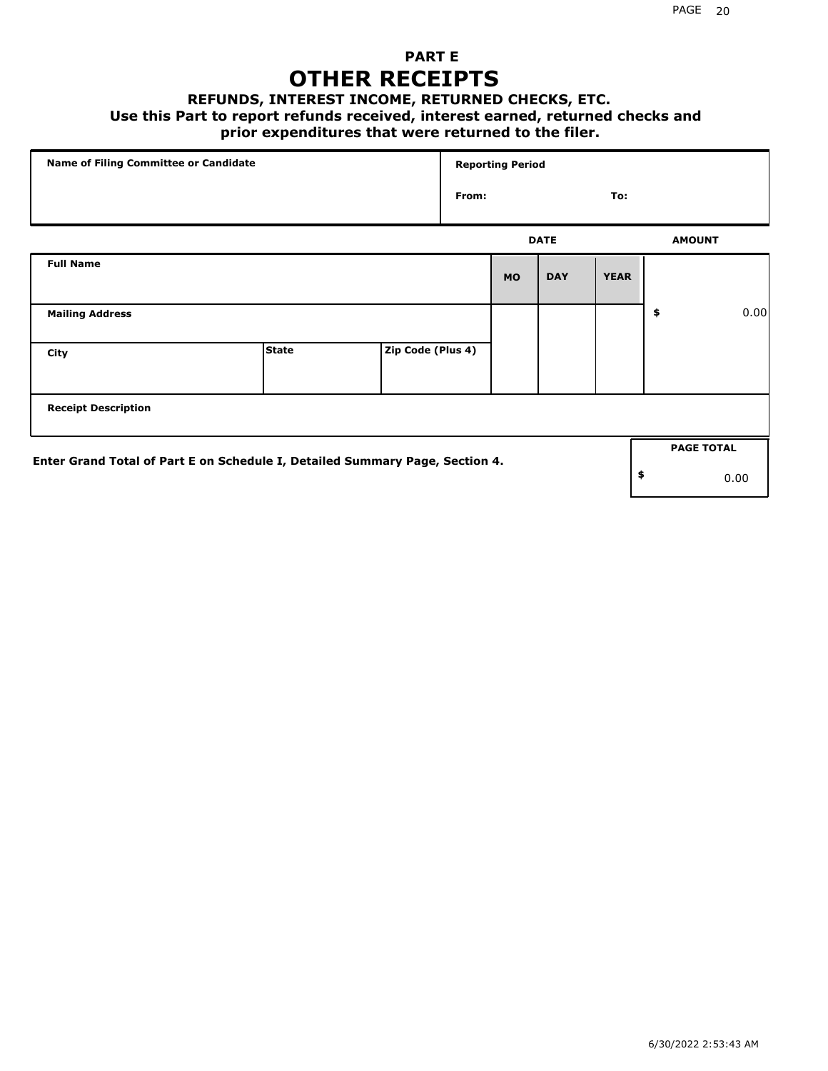### **PART E OTHER RECEIPTS**

#### **REFUNDS, INTEREST INCOME, RETURNED CHECKS, ETC.**

#### **Use this Part to report refunds received, interest earned, returned checks and**

### **prior expenditures that were returned to the filer.**

|                                                                              | Name of Filing Committee or Candidate |                   |       |           | <b>Reporting Period</b> |             |    |                   |      |
|------------------------------------------------------------------------------|---------------------------------------|-------------------|-------|-----------|-------------------------|-------------|----|-------------------|------|
|                                                                              |                                       |                   | From: |           |                         | To:         |    |                   |      |
|                                                                              |                                       |                   |       |           | <b>DATE</b>             |             |    | <b>AMOUNT</b>     |      |
| <b>Full Name</b>                                                             |                                       |                   |       | <b>MO</b> | <b>DAY</b>              | <b>YEAR</b> |    |                   |      |
| <b>Mailing Address</b>                                                       |                                       |                   |       |           |                         |             | \$ |                   | 0.00 |
| City                                                                         | <b>State</b>                          | Zip Code (Plus 4) |       |           |                         |             |    |                   |      |
| <b>Receipt Description</b>                                                   |                                       |                   |       |           |                         |             |    |                   |      |
|                                                                              |                                       |                   |       |           |                         |             |    | <b>PAGE TOTAL</b> |      |
| Enter Grand Total of Part E on Schedule I, Detailed Summary Page, Section 4. |                                       |                   |       |           |                         |             | \$ |                   | 0.00 |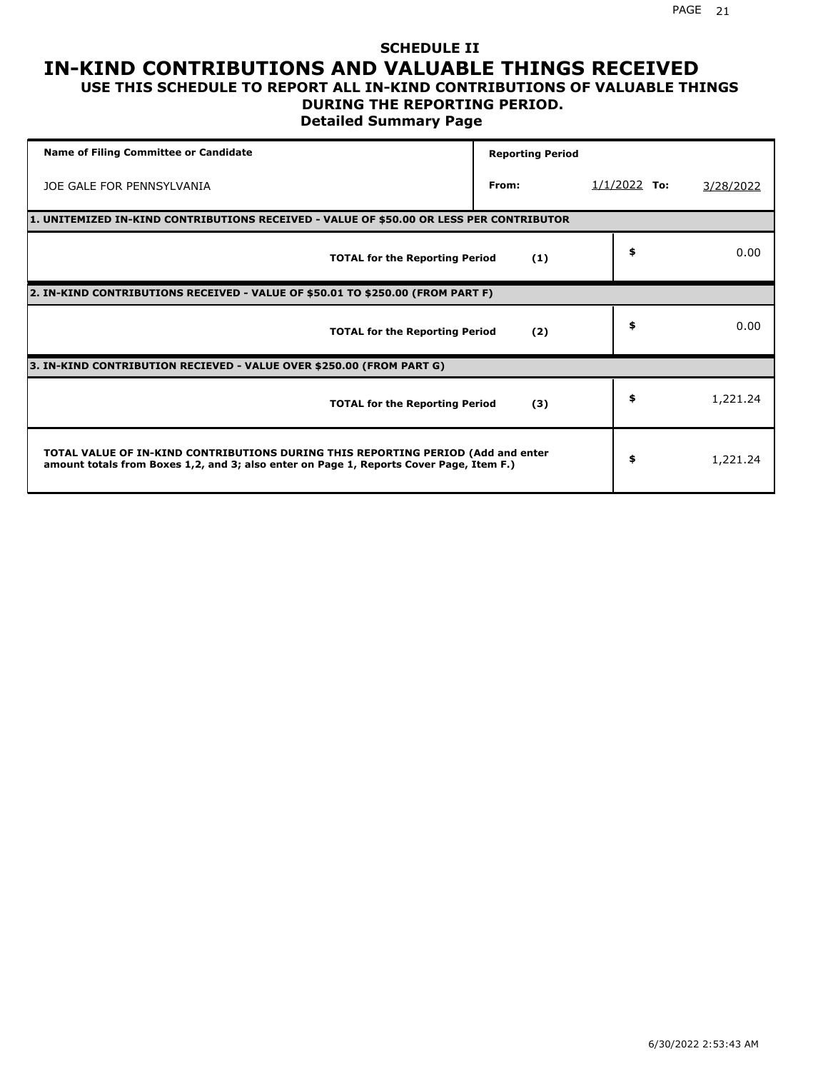#### **SCHEDULE II IN-KIND CONTRIBUTIONS AND VALUABLE THINGS RECEIVED USE THIS SCHEDULE TO REPORT ALL IN-KIND CONTRIBUTIONS OF VALUABLE THINGS**

## **DURING THE REPORTING PERIOD.**

**Detailed Summary Page**

| <b>Name of Filing Committee or Candidate</b>                                                                                                                                | <b>Reporting Period</b> |                |           |
|-----------------------------------------------------------------------------------------------------------------------------------------------------------------------------|-------------------------|----------------|-----------|
| JOE GALE FOR PENNSYLVANIA                                                                                                                                                   | From:                   | $1/1/2022$ To: | 3/28/2022 |
| 1. UNITEMIZED IN-KIND CONTRIBUTIONS RECEIVED - VALUE OF \$50.00 OR LESS PER CONTRIBUTOR                                                                                     |                         |                |           |
| <b>TOTAL for the Reporting Period</b>                                                                                                                                       | (1)                     | \$             | 0.00      |
| 2. IN-KIND CONTRIBUTIONS RECEIVED - VALUE OF \$50.01 TO \$250.00 (FROM PART F)                                                                                              |                         |                |           |
| <b>TOTAL for the Reporting Period</b>                                                                                                                                       | (2)                     | \$             | 0.00      |
| 3. IN-KIND CONTRIBUTION RECIEVED - VALUE OVER \$250.00 (FROM PART G)                                                                                                        |                         |                |           |
| <b>TOTAL for the Reporting Period</b>                                                                                                                                       | (3)                     | \$             | 1,221.24  |
| TOTAL VALUE OF IN-KIND CONTRIBUTIONS DURING THIS REPORTING PERIOD (Add and enter<br>amount totals from Boxes 1,2, and 3; also enter on Page 1, Reports Cover Page, Item F.) |                         | \$             | 1,221.24  |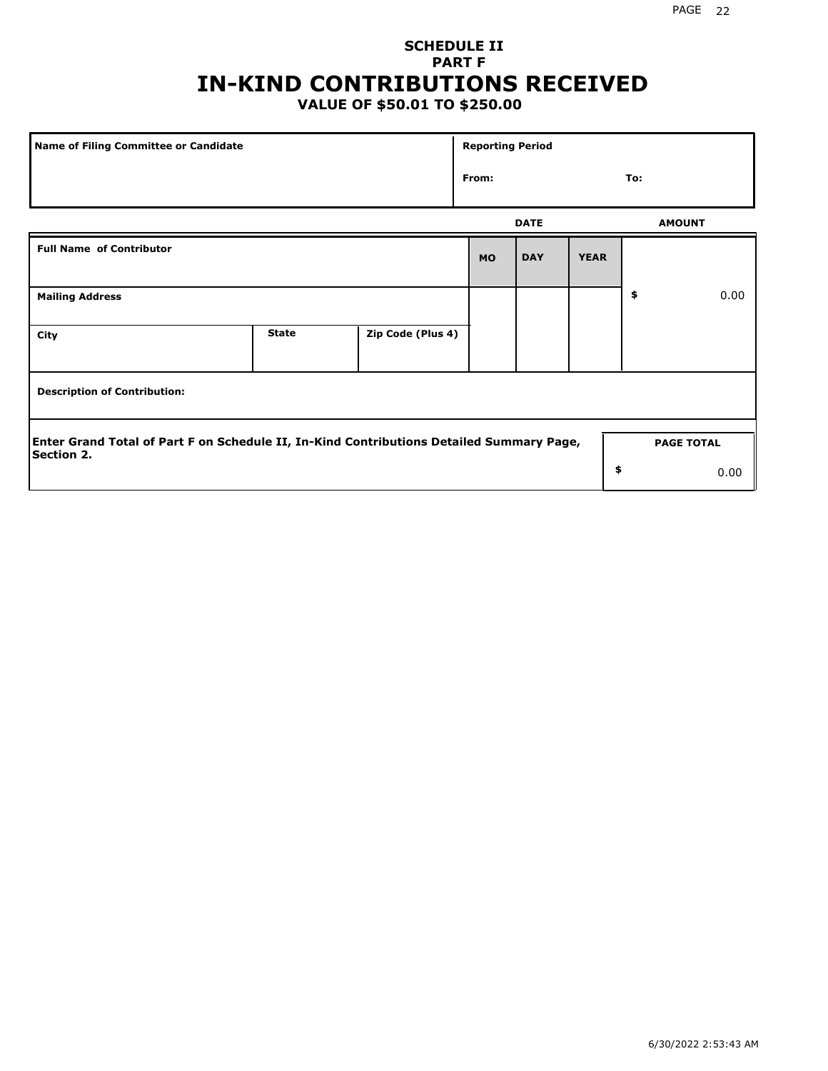# **SCHEDULE II PART F IN-KIND CONTRIBUTIONS RECEIVED**

## **VALUE OF \$50.01 TO \$250.00**

| Name of Filing Committee or Candidate                                                                  |              |                   |           |               | <b>Reporting Period</b> |    |                   |  |  |
|--------------------------------------------------------------------------------------------------------|--------------|-------------------|-----------|---------------|-------------------------|----|-------------------|--|--|
|                                                                                                        | From:        |                   |           | To:           |                         |    |                   |  |  |
|                                                                                                        |              | <b>DATE</b>       |           | <b>AMOUNT</b> |                         |    |                   |  |  |
| <b>Full Name of Contributor</b>                                                                        |              |                   | <b>MO</b> | <b>DAY</b>    | <b>YEAR</b>             |    |                   |  |  |
| <b>Mailing Address</b>                                                                                 |              |                   |           |               |                         | \$ | 0.00              |  |  |
| City                                                                                                   | <b>State</b> | Zip Code (Plus 4) |           |               |                         |    |                   |  |  |
| <b>Description of Contribution:</b>                                                                    |              |                   |           |               |                         |    |                   |  |  |
| Enter Grand Total of Part F on Schedule II, In-Kind Contributions Detailed Summary Page,<br>Section 2. |              |                   |           |               |                         |    | <b>PAGE TOTAL</b> |  |  |
|                                                                                                        |              |                   |           |               | \$                      |    | 0.00              |  |  |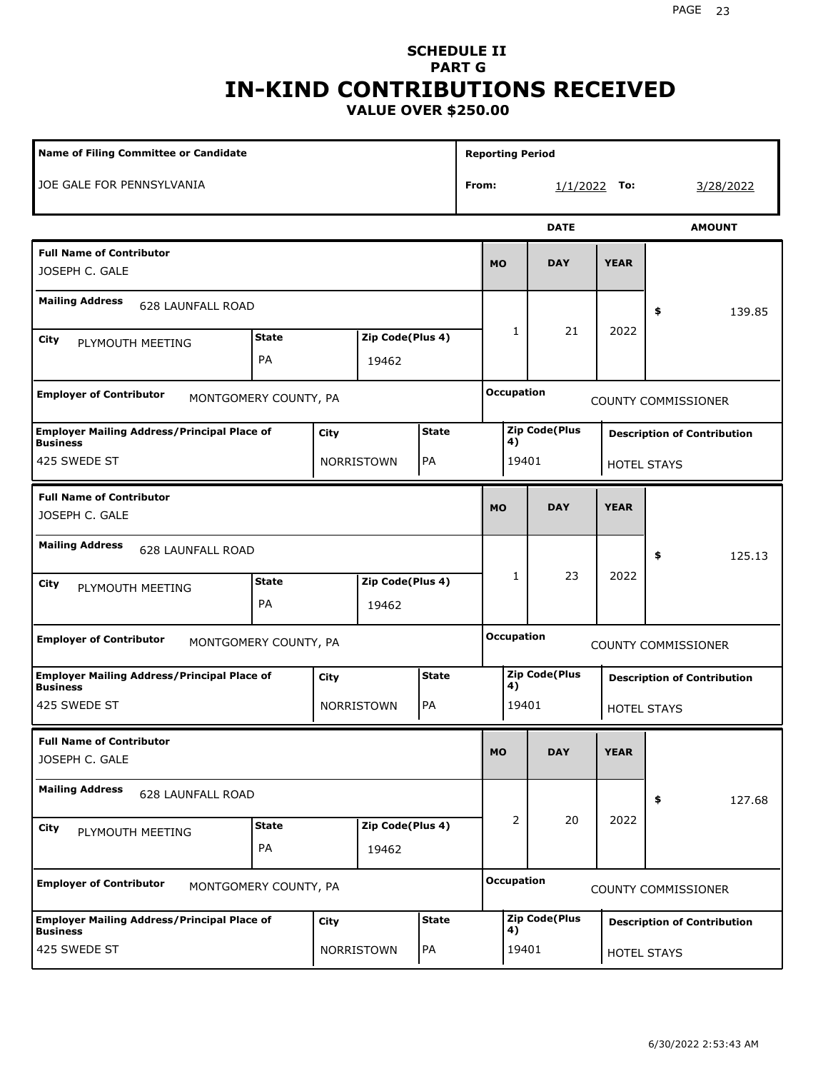#### PAGE 23

### **SCHEDULE II PART G IN-KIND CONTRIBUTIONS RECEIVED VALUE OVER \$250.00**

| <b>Name of Filing Committee or Candidate</b>                                                  |                                                        |      |                           |              |       | <b>Reporting Period</b>     |              |                      |                            |                                    |  |
|-----------------------------------------------------------------------------------------------|--------------------------------------------------------|------|---------------------------|--------------|-------|-----------------------------|--------------|----------------------|----------------------------|------------------------------------|--|
| JOE GALE FOR PENNSYLVANIA                                                                     |                                                        |      |                           |              | From: |                             |              | $1/1/2022$ To:       |                            | 3/28/2022                          |  |
|                                                                                               |                                                        |      |                           |              |       |                             |              | <b>DATE</b>          |                            | <b>AMOUNT</b>                      |  |
| <b>Full Name of Contributor</b><br>JOSEPH C. GALE                                             |                                                        |      |                           |              |       | <b>MO</b>                   |              | <b>DAY</b>           | <b>YEAR</b>                |                                    |  |
| <b>Mailing Address</b><br><b>628 LAUNFALL ROAD</b>                                            |                                                        |      |                           |              |       |                             |              |                      |                            | \$<br>139.85                       |  |
| City<br>PLYMOUTH MEETING                                                                      | <b>State</b><br>Zip Code(Plus 4)<br><b>PA</b><br>19462 |      |                           |              |       | $\mathbf{1}$<br>21          |              |                      | 2022                       |                                    |  |
| <b>Employer of Contributor</b>                                                                | MONTGOMERY COUNTY, PA                                  |      |                           |              |       | <b>Occupation</b>           |              |                      |                            | <b>COUNTY COMMISSIONER</b>         |  |
| <b>Employer Mailing Address/Principal Place of</b><br><b>State</b><br>City<br><b>Business</b> |                                                        |      |                           |              |       |                             | 4)           | <b>Zip Code(Plus</b> |                            | <b>Description of Contribution</b> |  |
| 425 SWEDE ST<br>PA<br>NORRISTOWN                                                              |                                                        |      |                           |              |       |                             | 19401        |                      |                            | <b>HOTEL STAYS</b>                 |  |
| <b>Full Name of Contributor</b><br>JOSEPH C. GALE                                             |                                                        |      |                           |              |       | <b>MO</b>                   |              | <b>DAY</b>           | <b>YEAR</b>                |                                    |  |
| <b>Mailing Address</b><br>628 LAUNFALL ROAD                                                   |                                                        |      |                           |              |       |                             |              |                      |                            | \$<br>125.13                       |  |
| City<br>PLYMOUTH MEETING                                                                      | <b>State</b><br>PA                                     |      | Zip Code(Plus 4)<br>19462 |              |       |                             | $\mathbf{1}$ | 23                   | 2022                       |                                    |  |
| <b>Employer of Contributor</b><br>MONTGOMERY COUNTY, PA                                       |                                                        |      |                           |              |       | <b>Occupation</b>           |              |                      | <b>COUNTY COMMISSIONER</b> |                                    |  |
| <b>Employer Mailing Address/Principal Place of</b><br><b>Business</b>                         |                                                        | City |                           | <b>State</b> |       | <b>Zip Code(Plus</b><br>4)  |              |                      |                            | <b>Description of Contribution</b> |  |
| 425 SWEDE ST                                                                                  |                                                        |      | NORRISTOWN                | PA           |       | 19401<br><b>HOTEL STAYS</b> |              |                      |                            |                                    |  |
| <b>Full Name of Contributor</b><br>JOSEPH C. GALE                                             |                                                        |      |                           |              |       | <b>MO</b>                   |              | <b>DAY</b>           | <b>YEAR</b>                |                                    |  |
| <b>Mailing Address</b><br><b>628 LAUNFALL ROAD</b>                                            |                                                        |      |                           |              |       |                             |              |                      |                            | 127.68<br>\$                       |  |
| Zip Code(Plus 4)<br><b>State</b><br>City<br>PLYMOUTH MEETING<br>PA<br>19462                   |                                                        |      |                           |              |       |                             | 2            | 20                   | 2022                       |                                    |  |
| <b>Employer of Contributor</b><br>MONTGOMERY COUNTY, PA                                       |                                                        |      |                           |              |       | <b>Occupation</b>           |              |                      |                            | <b>COUNTY COMMISSIONER</b>         |  |
| <b>Employer Mailing Address/Principal Place of</b><br><b>Business</b>                         |                                                        | City |                           | <b>State</b> |       |                             | 4)           | <b>Zip Code(Plus</b> |                            | <b>Description of Contribution</b> |  |
| 425 SWEDE ST                                                                                  |                                                        |      | NORRISTOWN                | PA           |       |                             | 19401        |                      |                            | HOTEL STAYS                        |  |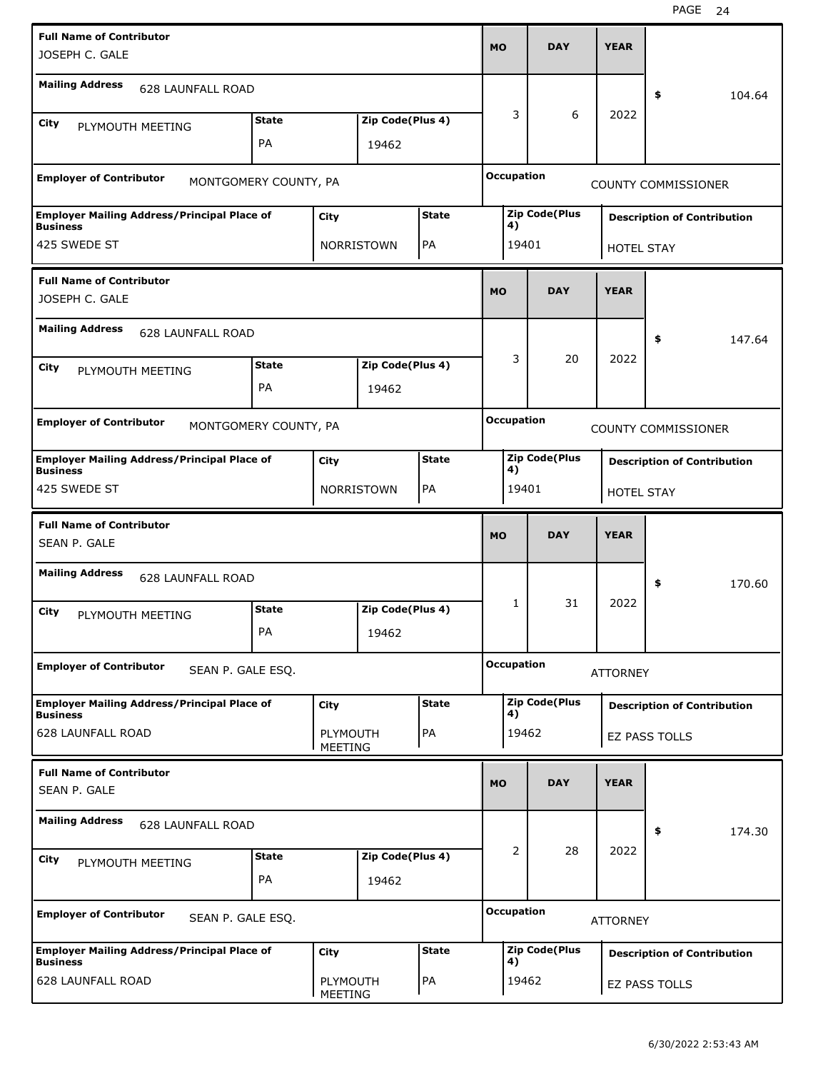| <b>Full Name of Contributor</b><br>JOSEPH C. GALE                     |              |                     |                  |              |                                      | <b>DAY</b>                                                       | <b>YEAR</b>                        |                                    |  |
|-----------------------------------------------------------------------|--------------|---------------------|------------------|--------------|--------------------------------------|------------------------------------------------------------------|------------------------------------|------------------------------------|--|
| <b>Mailing Address</b><br>628 LAUNFALL ROAD                           |              |                     |                  |              |                                      |                                                                  |                                    | 104.64<br>\$                       |  |
|                                                                       | <b>State</b> |                     | Zip Code(Plus 4) |              | 3                                    | 6                                                                | 2022                               |                                    |  |
| City<br>PLYMOUTH MEETING                                              | PA           |                     |                  |              |                                      |                                                                  |                                    |                                    |  |
|                                                                       |              |                     | 19462            |              |                                      |                                                                  |                                    |                                    |  |
| <b>Employer of Contributor</b><br>MONTGOMERY COUNTY, PA               |              |                     |                  |              | <b>Occupation</b>                    |                                                                  |                                    | <b>COUNTY COMMISSIONER</b>         |  |
| <b>Employer Mailing Address/Principal Place of</b><br><b>Business</b> |              | City                |                  | <b>State</b> |                                      | <b>Zip Code(Plus</b><br><b>Description of Contribution</b><br>4) |                                    |                                    |  |
| 425 SWEDE ST                                                          |              |                     | NORRISTOWN       | PA           |                                      | 19401<br><b>HOTEL STAY</b>                                       |                                    |                                    |  |
| <b>Full Name of Contributor</b>                                       |              |                     |                  |              |                                      |                                                                  |                                    |                                    |  |
| JOSEPH C. GALE                                                        |              |                     |                  |              |                                      | <b>DAY</b>                                                       | <b>YEAR</b>                        |                                    |  |
| <b>Mailing Address</b><br><b>628 LAUNFALL ROAD</b>                    |              |                     |                  |              |                                      |                                                                  |                                    | \$<br>147.64                       |  |
| <b>State</b><br>Zip Code(Plus 4)<br>City<br>PLYMOUTH MEETING          |              |                     |                  |              | 3                                    | 20                                                               | 2022                               |                                    |  |
| PA<br>19462                                                           |              |                     |                  |              |                                      |                                                                  |                                    |                                    |  |
| <b>Employer of Contributor</b><br>MONTGOMERY COUNTY, PA               |              |                     |                  |              | <b>Occupation</b>                    |                                                                  |                                    | <b>COUNTY COMMISSIONER</b>         |  |
| <b>Employer Mailing Address/Principal Place of</b><br><b>Business</b> |              | City                |                  | <b>State</b> | 4)                                   | <b>Zip Code(Plus</b>                                             |                                    | <b>Description of Contribution</b> |  |
| 425 SWEDE ST                                                          |              |                     | NORRISTOWN       | PA           |                                      | 19401<br>HOTEL STAY                                              |                                    |                                    |  |
| <b>Full Name of Contributor</b>                                       |              |                     |                  |              |                                      |                                                                  |                                    |                                    |  |
| SEAN P. GALE                                                          |              |                     |                  |              | <b>MO</b>                            | <b>DAY</b>                                                       | <b>YEAR</b>                        |                                    |  |
| <b>Mailing Address</b><br><b>628 LAUNFALL ROAD</b>                    |              |                     |                  |              |                                      |                                                                  |                                    | \$<br>170.60                       |  |
| City<br>PLYMOUTH MEETING                                              | <b>State</b> |                     | Zip Code(Plus 4) |              | 1                                    | 31                                                               | 2022                               |                                    |  |
|                                                                       | PA           |                     | 19462            |              |                                      |                                                                  |                                    |                                    |  |
| <b>Employer of Contributor</b><br>SEAN P. GALE ESQ.                   |              |                     |                  |              | <b>Occupation</b><br><b>ATTORNEY</b> |                                                                  |                                    |                                    |  |
| <b>Employer Mailing Address/Principal Place of</b><br><b>Business</b> |              | City                |                  | <b>State</b> | 4)                                   | <b>Zip Code(Plus</b>                                             |                                    | <b>Description of Contribution</b> |  |
| <b>628 LAUNFALL ROAD</b>                                              |              | PLYMOUTH<br>MEETING |                  | PA           | 19462                                |                                                                  |                                    | EZ PASS TOLLS                      |  |
| <b>Full Name of Contributor</b><br>SEAN P. GALE                       |              |                     |                  |              | MO                                   | <b>DAY</b>                                                       | <b>YEAR</b>                        |                                    |  |
| <b>Mailing Address</b><br>628 LAUNFALL ROAD                           |              |                     |                  |              |                                      |                                                                  |                                    |                                    |  |
|                                                                       |              |                     |                  |              |                                      | 28                                                               | 2022                               | 174.30<br>\$                       |  |
| City<br>PLYMOUTH MEETING                                              | <b>State</b> |                     | Zip Code(Plus 4) |              | 2                                    |                                                                  |                                    |                                    |  |
|                                                                       | PA           |                     | 19462            |              |                                      |                                                                  |                                    |                                    |  |
| <b>Employer of Contributor</b><br>SEAN P. GALE ESQ.                   |              |                     |                  |              | <b>Occupation</b>                    |                                                                  | <b>ATTORNEY</b>                    |                                    |  |
| <b>Employer Mailing Address/Principal Place of</b><br><b>Business</b> |              | City                |                  | <b>State</b> | <b>Zip Code(Plus</b><br>4)           |                                                                  | <b>Description of Contribution</b> |                                    |  |
| <b>628 LAUNFALL ROAD</b>                                              |              | PLYMOUTH<br>MEETING |                  | PA           | 19462                                |                                                                  |                                    | EZ PASS TOLLS                      |  |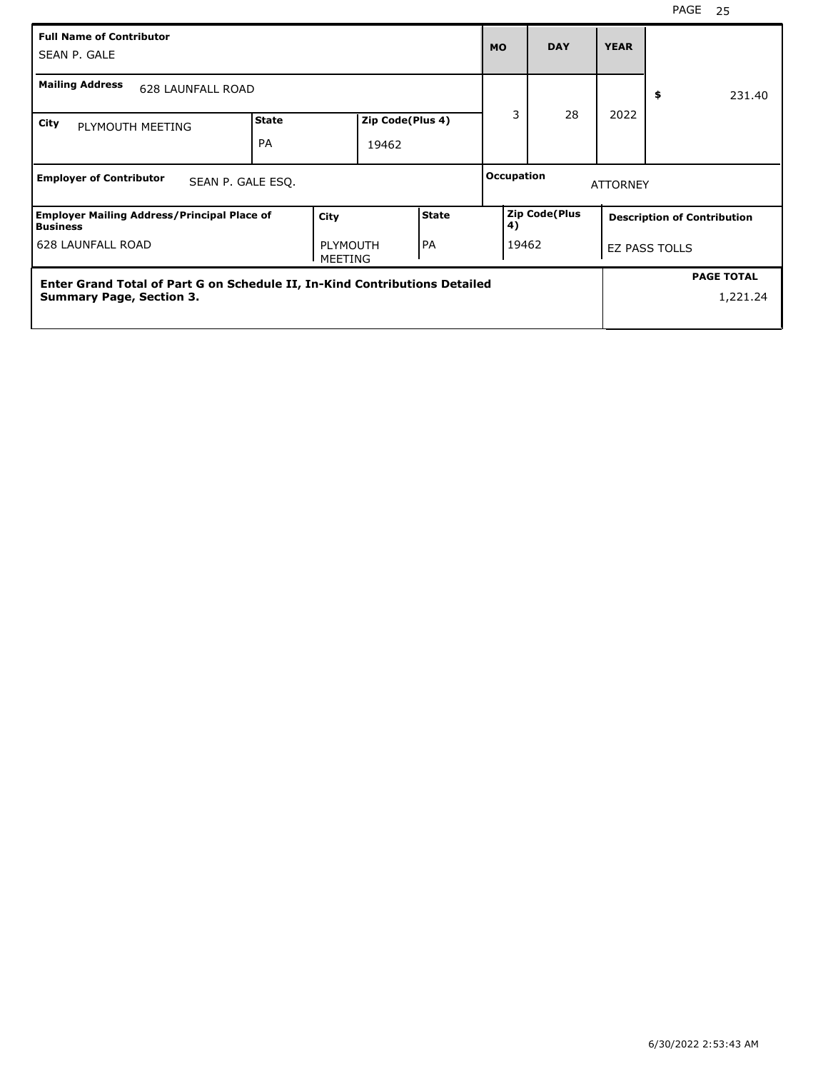| <b>Full Name of Contributor</b><br>SEAN P. GALE                            |                           |                            |                           |              | <b>MO</b>                  | <b>DAY</b> | <b>YEAR</b>                        |                      |
|----------------------------------------------------------------------------|---------------------------|----------------------------|---------------------------|--------------|----------------------------|------------|------------------------------------|----------------------|
| <b>Mailing Address</b><br><b>628 LAUNFALL ROAD</b>                         |                           |                            |                           |              |                            |            |                                    | \$<br>231.40         |
| City<br>PLYMOUTH MEETING                                                   | <b>State</b><br><b>PA</b> |                            | Zip Code(Plus 4)<br>19462 |              | 3                          | 28         | 2022                               |                      |
| <b>Employer of Contributor</b><br>SEAN P. GALE ESQ.                        |                           |                            |                           |              | <b>Occupation</b>          |            | <b>ATTORNEY</b>                    |                      |
| <b>Employer Mailing Address/Principal Place of</b><br><b>Business</b>      |                           | City                       |                           | <b>State</b> | <b>Zip Code(Plus</b><br>4) |            | <b>Description of Contribution</b> |                      |
| <b>628 LAUNFALL ROAD</b>                                                   |                           | <b>PLYMOUTH</b><br>MEETING |                           | <b>PA</b>    |                            | 19462      |                                    | <b>EZ PASS TOLLS</b> |
| Enter Grand Total of Part G on Schedule II, In-Kind Contributions Detailed |                           |                            |                           |              |                            |            |                                    | <b>PAGE TOTAL</b>    |
| <b>Summary Page, Section 3.</b>                                            |                           |                            |                           |              |                            |            |                                    | 1,221.24             |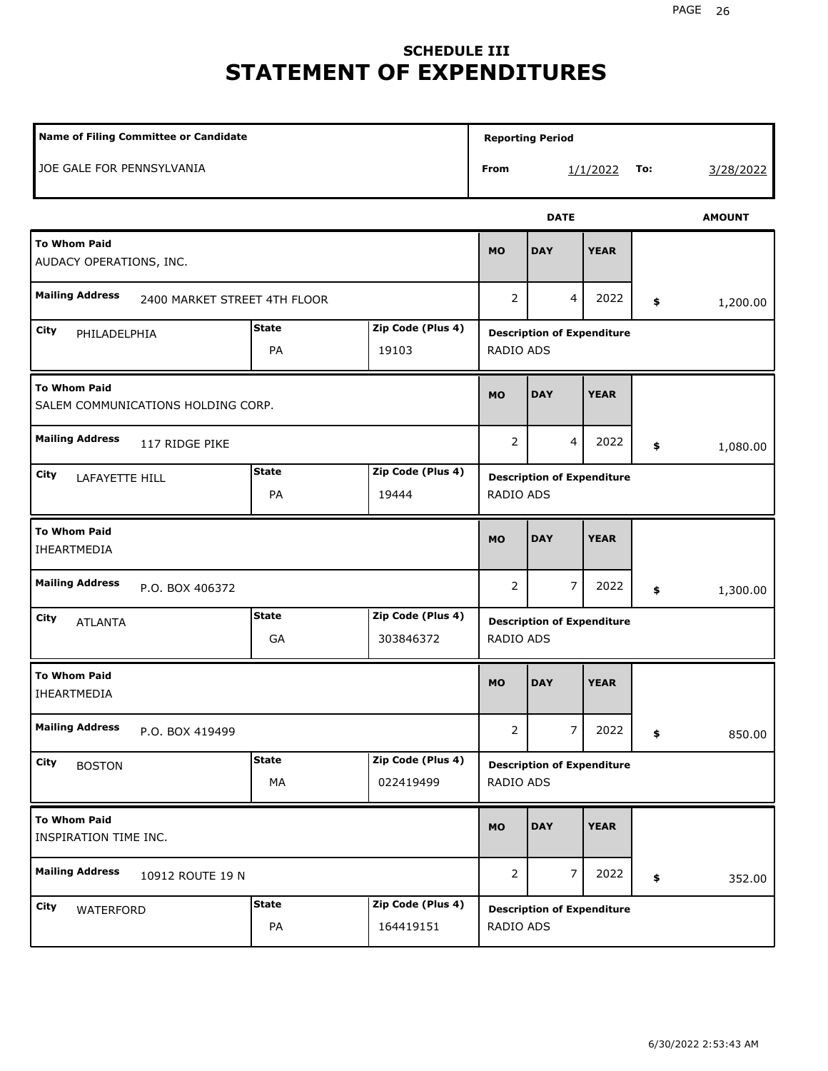# **SCHEDULE III STATEMENT OF EXPENDITURES**

| Name of Filing Committee or Candidate                     |                    |                                |                  |                                   |             | <b>Reporting Period</b> |               |  |  |
|-----------------------------------------------------------|--------------------|--------------------------------|------------------|-----------------------------------|-------------|-------------------------|---------------|--|--|
| JOE GALE FOR PENNSYLVANIA                                 |                    |                                | From             |                                   | 1/1/2022    | To:                     | 3/28/2022     |  |  |
|                                                           |                    |                                |                  | <b>DATE</b>                       |             |                         | <b>AMOUNT</b> |  |  |
| <b>To Whom Paid</b><br>AUDACY OPERATIONS, INC.            |                    |                                | <b>MO</b>        | <b>DAY</b>                        | <b>YEAR</b> |                         |               |  |  |
| <b>Mailing Address</b><br>2400 MARKET STREET 4TH FLOOR    |                    |                                | 2                | 4                                 | 2022        | \$                      | 1,200.00      |  |  |
| City<br>PHILADELPHIA                                      | <b>State</b><br>PA | Zip Code (Plus 4)<br>19103     | RADIO ADS        | <b>Description of Expenditure</b> |             |                         |               |  |  |
| <b>To Whom Paid</b><br>SALEM COMMUNICATIONS HOLDING CORP. |                    |                                | <b>MO</b>        | <b>DAY</b>                        | <b>YEAR</b> |                         |               |  |  |
| <b>Mailing Address</b><br>117 RIDGE PIKE                  |                    |                                | $\overline{2}$   | 4                                 | 2022        | \$                      | 1,080.00      |  |  |
| City<br><b>LAFAYETTE HILL</b>                             | <b>State</b><br>PA | Zip Code (Plus 4)<br>19444     | <b>RADIO ADS</b> | <b>Description of Expenditure</b> |             |                         |               |  |  |
| <b>To Whom Paid</b><br>IHEARTMEDIA                        |                    |                                | <b>MO</b>        | <b>DAY</b>                        | <b>YEAR</b> |                         |               |  |  |
| <b>Mailing Address</b><br>P.O. BOX 406372                 |                    |                                | $\overline{2}$   | $\overline{7}$                    | 2022        | \$                      | 1,300.00      |  |  |
| City<br><b>ATLANTA</b>                                    | <b>State</b><br>GA | Zip Code (Plus 4)<br>303846372 | RADIO ADS        | <b>Description of Expenditure</b> |             |                         |               |  |  |
| <b>To Whom Paid</b><br>IHEARTMEDIA                        |                    |                                | <b>MO</b>        | <b>DAY</b>                        | <b>YEAR</b> |                         |               |  |  |
| <b>Mailing Address</b><br>P.O. BOX 419499                 |                    |                                | $\overline{2}$   | 7 <sup>1</sup>                    | 2022        | \$                      | 850.00        |  |  |
| City<br><b>BOSTON</b>                                     | <b>State</b><br>МA | Zip Code (Plus 4)<br>022419499 | RADIO ADS        | <b>Description of Expenditure</b> |             |                         |               |  |  |
| <b>To Whom Paid</b><br>INSPIRATION TIME INC.              |                    |                                | <b>MO</b>        | <b>DAY</b>                        | <b>YEAR</b> |                         |               |  |  |
| <b>Mailing Address</b><br>10912 ROUTE 19 N                |                    |                                | 2                | 7                                 | 2022        | \$                      | 352.00        |  |  |
| City<br>WATERFORD                                         | <b>State</b><br>PA | Zip Code (Plus 4)<br>164419151 | RADIO ADS        | <b>Description of Expenditure</b> |             |                         |               |  |  |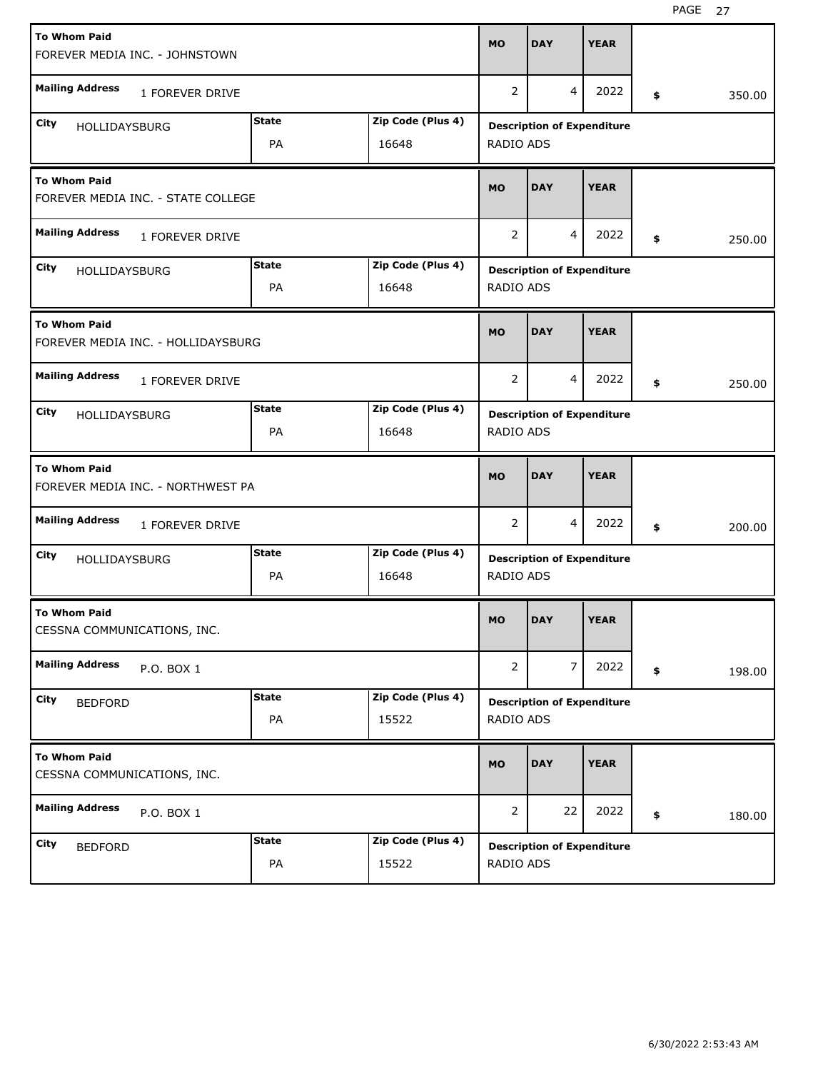| <b>To Whom Paid</b>                                       |                |                   | <b>MO</b>      | <b>DAY</b>     | <b>YEAR</b>                       |              |
|-----------------------------------------------------------|----------------|-------------------|----------------|----------------|-----------------------------------|--------------|
| FOREVER MEDIA INC. - JOHNSTOWN                            |                |                   |                |                |                                   |              |
| <b>Mailing Address</b><br>1 FOREVER DRIVE                 |                |                   | $\overline{2}$ | $\overline{4}$ | 2022                              | \$<br>350.00 |
| City<br>HOLLIDAYSBURG                                     | <b>State</b>   | Zip Code (Plus 4) |                |                | <b>Description of Expenditure</b> |              |
|                                                           | PA             | 16648             | RADIO ADS      |                |                                   |              |
| <b>To Whom Paid</b><br>FOREVER MEDIA INC. - STATE COLLEGE | <b>MO</b>      | <b>DAY</b>        | <b>YEAR</b>    |                |                                   |              |
| <b>Mailing Address</b><br>1 FOREVER DRIVE                 | $\overline{2}$ | 4                 | 2022           | \$<br>250.00   |                                   |              |
| City<br><b>HOLLIDAYSBURG</b>                              | <b>State</b>   | Zip Code (Plus 4) |                |                | <b>Description of Expenditure</b> |              |
|                                                           | RADIO ADS      |                   |                |                |                                   |              |
| <b>To Whom Paid</b><br>FOREVER MEDIA INC. - HOLLIDAYSBURG |                |                   | <b>MO</b>      | <b>DAY</b>     | <b>YEAR</b>                       |              |
| <b>Mailing Address</b><br>1 FOREVER DRIVE                 |                |                   | 2              | 4              | 2022                              | \$<br>250.00 |
| City<br><b>HOLLIDAYSBURG</b>                              | State          | Zip Code (Plus 4) |                |                | <b>Description of Expenditure</b> |              |
|                                                           | PA             | 16648             | RADIO ADS      |                |                                   |              |
|                                                           |                |                   |                |                |                                   |              |
| <b>To Whom Paid</b><br>FOREVER MEDIA INC. - NORTHWEST PA  |                |                   | <b>MO</b>      | <b>DAY</b>     | <b>YEAR</b>                       |              |
| <b>Mailing Address</b><br>1 FOREVER DRIVE                 |                |                   | 2              | 4              | 2022                              | \$<br>200.00 |
| City<br><b>HOLLIDAYSBURG</b>                              | State          | Zip Code (Plus 4) |                |                | <b>Description of Expenditure</b> |              |
|                                                           | PA             | 16648             | RADIO ADS      |                |                                   |              |
| <b>To Whom Paid</b><br>CESSNA COMMUNICATIONS, INC.        |                |                   | <b>MO</b>      | <b>DAY</b>     | <b>YEAR</b>                       |              |
| <b>Mailing Address</b><br>P.O. BOX 1                      |                |                   | $\overline{2}$ | $\overline{7}$ | 2022                              | \$<br>198.00 |
| City<br><b>BEDFORD</b>                                    | <b>State</b>   | Zip Code (Plus 4) |                |                | <b>Description of Expenditure</b> |              |
|                                                           | PA             | 15522             | RADIO ADS      |                |                                   |              |
| <b>To Whom Paid</b><br>CESSNA COMMUNICATIONS, INC.        |                |                   | <b>MO</b>      | <b>DAY</b>     | <b>YEAR</b>                       |              |
| <b>Mailing Address</b><br>P.O. BOX 1                      |                |                   | $\overline{2}$ | 22             | 2022                              | \$<br>180.00 |
| City<br><b>BEDFORD</b>                                    | <b>State</b>   | Zip Code (Plus 4) |                |                | <b>Description of Expenditure</b> |              |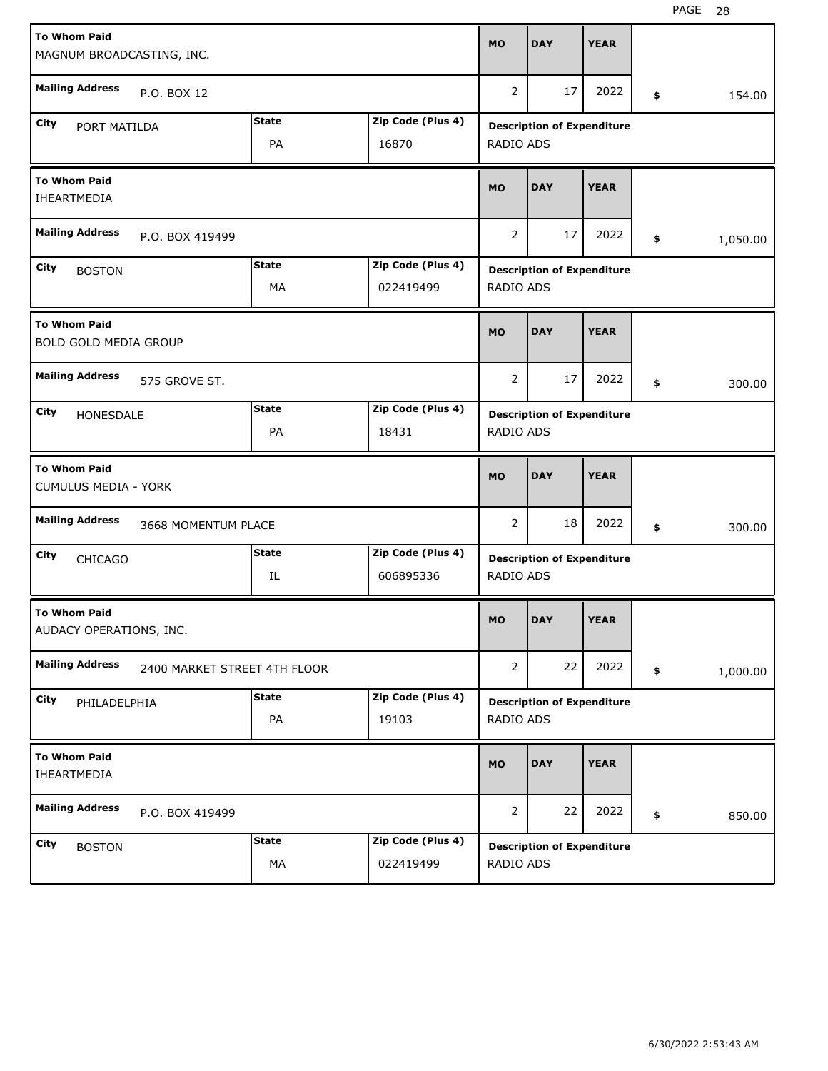| <b>To Whom Paid</b>                                |                              |                   |                |                                   |             |                |
|----------------------------------------------------|------------------------------|-------------------|----------------|-----------------------------------|-------------|----------------|
| MAGNUM BROADCASTING, INC.                          |                              |                   | <b>MO</b>      | <b>DAY</b>                        | <b>YEAR</b> |                |
| <b>Mailing Address</b><br>P.O. BOX 12              |                              |                   | $\overline{2}$ | 17                                | 2022        | \$<br>154.00   |
| City                                               | <b>State</b>                 | Zip Code (Plus 4) |                | <b>Description of Expenditure</b> |             |                |
| PORT MATILDA                                       | PA                           | 16870             | RADIO ADS      |                                   |             |                |
| <b>To Whom Paid</b><br><b>IHEARTMEDIA</b>          |                              |                   |                |                                   |             |                |
| <b>Mailing Address</b><br>P.O. BOX 419499          | $\overline{2}$               | 17                | 2022           | \$<br>1,050.00                    |             |                |
| City<br><b>BOSTON</b>                              | <b>State</b>                 | Zip Code (Plus 4) |                | <b>Description of Expenditure</b> |             |                |
|                                                    | MA                           | 022419499         | RADIO ADS      |                                   |             |                |
| <b>To Whom Paid</b><br>BOLD GOLD MEDIA GROUP       |                              |                   | <b>MO</b>      | <b>DAY</b>                        | <b>YEAR</b> |                |
| <b>Mailing Address</b><br>575 GROVE ST.            |                              |                   | 2              | 17                                | 2022        | \$<br>300.00   |
| City<br>HONESDALE                                  | <b>State</b>                 | Zip Code (Plus 4) |                | <b>Description of Expenditure</b> |             |                |
|                                                    | PA                           | 18431             | RADIO ADS      |                                   |             |                |
|                                                    |                              |                   |                |                                   |             |                |
| <b>To Whom Paid</b><br><b>CUMULUS MEDIA - YORK</b> |                              |                   | <b>MO</b>      | <b>DAY</b>                        | <b>YEAR</b> |                |
| <b>Mailing Address</b>                             | 3668 MOMENTUM PLACE          |                   | 2              | 18                                | 2022        | \$<br>300.00   |
| City<br><b>CHICAGO</b>                             | State                        | Zip Code (Plus 4) |                | <b>Description of Expenditure</b> |             |                |
|                                                    | IL                           | 606895336         | RADIO ADS      |                                   |             |                |
| <b>To Whom Paid</b><br>AUDACY OPERATIONS, INC.     |                              |                   | <b>MO</b>      | <b>DAY</b>                        | <b>YEAR</b> |                |
| <b>Mailing Address</b>                             | 2400 MARKET STREET 4TH FLOOR |                   | $\overline{2}$ | 22                                | 2022        | \$<br>1,000.00 |
| City                                               | <b>State</b>                 | Zip Code (Plus 4) |                | <b>Description of Expenditure</b> |             |                |
| PHILADELPHIA                                       | PA                           | 19103             | RADIO ADS      |                                   |             |                |
| <b>To Whom Paid</b><br>IHEARTMEDIA                 |                              |                   | <b>MO</b>      | <b>DAY</b>                        | <b>YEAR</b> |                |
| <b>Mailing Address</b><br>P.O. BOX 419499          |                              |                   | $\overline{2}$ | 22                                | 2022        | \$<br>850.00   |
| City<br><b>BOSTON</b>                              | <b>State</b>                 | Zip Code (Plus 4) |                | <b>Description of Expenditure</b> |             |                |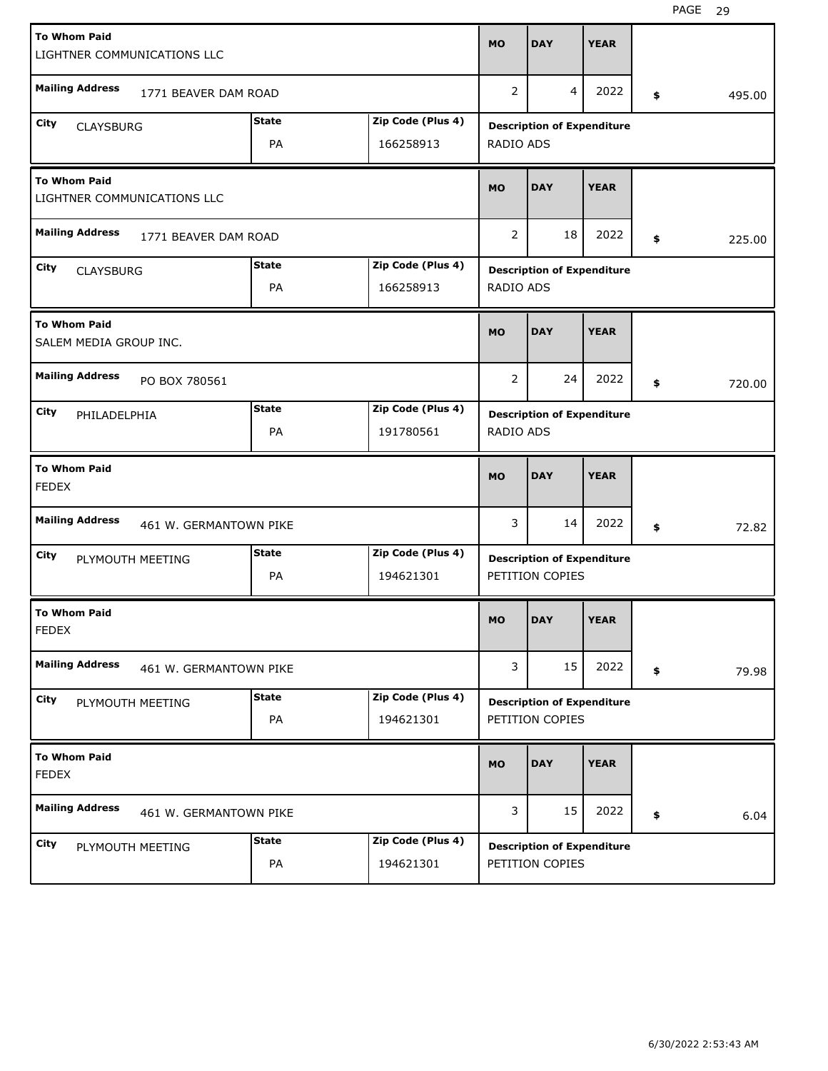| <b>To Whom Paid</b>                                | LIGHTNER COMMUNICATIONS LLC |              |                   | <b>MO</b> | <b>DAY</b>                        | <b>YEAR</b> |              |
|----------------------------------------------------|-----------------------------|--------------|-------------------|-----------|-----------------------------------|-------------|--------------|
| <b>Mailing Address</b>                             | 1771 BEAVER DAM ROAD        |              |                   | 2         | 4                                 | 2022        | \$<br>495.00 |
| City<br><b>CLAYSBURG</b>                           |                             | <b>State</b> | Zip Code (Plus 4) |           | <b>Description of Expenditure</b> |             |              |
|                                                    |                             | PA           | 166258913         | RADIO ADS |                                   |             |              |
| <b>To Whom Paid</b><br>LIGHTNER COMMUNICATIONS LLC |                             |              |                   |           | <b>DAY</b>                        | <b>YEAR</b> |              |
| <b>Mailing Address</b>                             | 1771 BEAVER DAM ROAD        |              |                   | 2         | 18                                | 2022        | \$<br>225.00 |
| City<br><b>CLAYSBURG</b>                           |                             | <b>State</b> | Zip Code (Plus 4) |           | <b>Description of Expenditure</b> |             |              |
|                                                    |                             | PA           | 166258913         | RADIO ADS |                                   |             |              |
| <b>To Whom Paid</b><br>SALEM MEDIA GROUP INC.      |                             |              |                   | <b>MO</b> | <b>DAY</b>                        | <b>YEAR</b> |              |
| <b>Mailing Address</b>                             | PO BOX 780561               |              |                   | 2         | 24                                | 2022        | \$<br>720.00 |
| City<br>PHILADELPHIA                               |                             | <b>State</b> | Zip Code (Plus 4) |           | <b>Description of Expenditure</b> |             |              |
|                                                    |                             | PA           | 191780561         | RADIO ADS |                                   |             |              |
|                                                    |                             |              |                   |           |                                   |             |              |
| <b>To Whom Paid</b><br><b>FEDEX</b>                |                             |              |                   | <b>MO</b> | <b>DAY</b>                        | <b>YEAR</b> |              |
| <b>Mailing Address</b>                             | 461 W. GERMANTOWN PIKE      |              |                   | 3         | 14                                | 2022        | \$<br>72.82  |
| City                                               |                             | <b>State</b> | Zip Code (Plus 4) |           | <b>Description of Expenditure</b> |             |              |
|                                                    | PLYMOUTH MEETING            | PA           | 194621301         |           | PETITION COPIES                   |             |              |
| <b>To Whom Paid</b><br><b>FEDEX</b>                |                             |              |                   | <b>MO</b> | <b>DAY</b>                        | <b>YEAR</b> |              |
| <b>Mailing Address</b>                             | 461 W. GERMANTOWN PIKE      |              |                   | 3         | 15                                | 2022        | \$<br>79.98  |
| City                                               |                             | <b>State</b> | Zip Code (Plus 4) |           | <b>Description of Expenditure</b> |             |              |
|                                                    | PLYMOUTH MEETING            | PA           | 194621301         |           | PETITION COPIES                   |             |              |
| <b>To Whom Paid</b><br><b>FEDEX</b>                |                             |              |                   | <b>MO</b> | <b>DAY</b>                        | <b>YEAR</b> |              |
| <b>Mailing Address</b>                             | 461 W. GERMANTOWN PIKE      |              |                   | 3         | 15                                | 2022        | \$<br>6.04   |
| City                                               | PLYMOUTH MEETING            | <b>State</b> | Zip Code (Plus 4) |           | <b>Description of Expenditure</b> |             |              |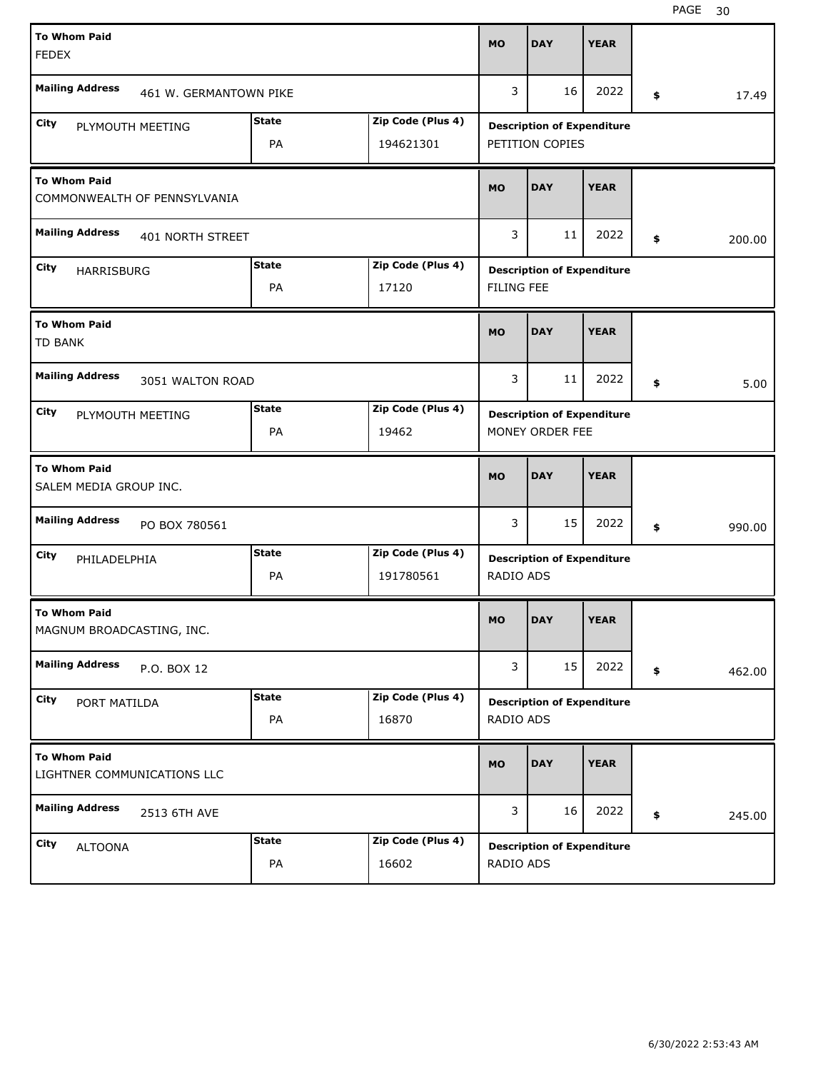| <b>To Whom Paid</b><br><b>FEDEX</b>                 |                        |              |                   | <b>MO</b>         | <b>DAY</b>                        | <b>YEAR</b> |              |
|-----------------------------------------------------|------------------------|--------------|-------------------|-------------------|-----------------------------------|-------------|--------------|
| <b>Mailing Address</b>                              | 461 W. GERMANTOWN PIKE |              |                   | 3                 | 16                                | 2022        | \$<br>17.49  |
| City                                                | PLYMOUTH MEETING       | <b>State</b> | Zip Code (Plus 4) |                   | <b>Description of Expenditure</b> |             |              |
|                                                     |                        | PA           | 194621301         |                   | PETITION COPIES                   |             |              |
| <b>To Whom Paid</b><br>COMMONWEALTH OF PENNSYLVANIA |                        |              |                   |                   | <b>DAY</b>                        | <b>YEAR</b> |              |
| <b>Mailing Address</b>                              | 401 NORTH STREET       |              |                   |                   |                                   | 2022        | \$<br>200.00 |
| City<br>HARRISBURG                                  |                        | <b>State</b> | Zip Code (Plus 4) |                   | <b>Description of Expenditure</b> |             |              |
|                                                     |                        | PA           | 17120             | <b>FILING FEE</b> |                                   |             |              |
| <b>To Whom Paid</b><br><b>TD BANK</b>               |                        |              |                   | <b>MO</b>         | <b>DAY</b>                        | <b>YEAR</b> |              |
| <b>Mailing Address</b>                              | 3051 WALTON ROAD       |              |                   | 3                 | 11                                | 2022        | \$<br>5.00   |
| City                                                | PLYMOUTH MEETING       | <b>State</b> | Zip Code (Plus 4) |                   | <b>Description of Expenditure</b> |             |              |
|                                                     |                        | PA           | 19462             |                   | MONEY ORDER FEE                   |             |              |
|                                                     |                        |              |                   |                   |                                   |             |              |
| <b>To Whom Paid</b><br>SALEM MEDIA GROUP INC.       |                        |              |                   | <b>MO</b>         | <b>DAY</b>                        | <b>YEAR</b> |              |
| <b>Mailing Address</b>                              | PO BOX 780561          |              |                   | 3                 | 15                                | 2022        | \$<br>990.00 |
| City<br>PHILADELPHIA                                |                        | <b>State</b> | Zip Code (Plus 4) |                   | <b>Description of Expenditure</b> |             |              |
|                                                     |                        | PA           | 191780561         | RADIO ADS         |                                   |             |              |
| <b>To Whom Paid</b><br>MAGNUM BROADCASTING, INC.    |                        |              |                   | MO                | <b>DAY</b>                        | <b>YEAR</b> |              |
| <b>Mailing Address</b>                              | P.O. BOX 12            |              |                   | 3                 | 15                                | 2022        | \$<br>462.00 |
| City                                                |                        | <b>State</b> | Zip Code (Plus 4) |                   |                                   |             |              |
| PORT MATILDA                                        |                        | PA           | 16870             | RADIO ADS         | <b>Description of Expenditure</b> |             |              |
| <b>To Whom Paid</b><br>LIGHTNER COMMUNICATIONS LLC  |                        |              |                   | <b>MO</b>         | <b>DAY</b>                        | <b>YEAR</b> |              |
| <b>Mailing Address</b>                              | 2513 6TH AVE           |              |                   | 3                 | 16                                | 2022        | \$<br>245.00 |
| City<br><b>ALTOONA</b>                              |                        | <b>State</b> | Zip Code (Plus 4) |                   | <b>Description of Expenditure</b> |             |              |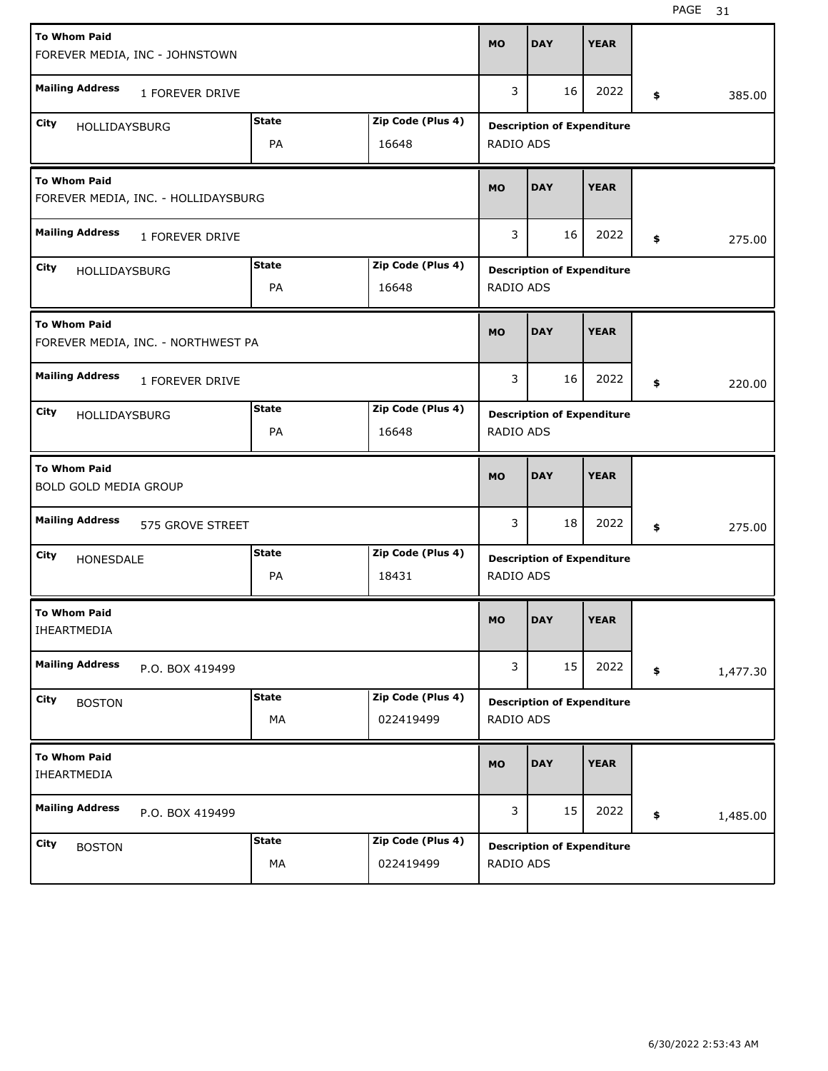| <b>To Whom Paid</b><br>FOREVER MEDIA, INC - JOHNSTOWN      |                    |                                | <b>MO</b>        | <b>DAY</b>                        | <b>YEAR</b> |                |
|------------------------------------------------------------|--------------------|--------------------------------|------------------|-----------------------------------|-------------|----------------|
| <b>Mailing Address</b><br>1 FOREVER DRIVE                  |                    |                                | 3                | 16                                | 2022        | \$<br>385.00   |
| City<br>HOLLIDAYSBURG                                      | <b>State</b><br>PA | Zip Code (Plus 4)<br>16648     | RADIO ADS        | <b>Description of Expenditure</b> |             |                |
| <b>To Whom Paid</b><br>FOREVER MEDIA, INC. - HOLLIDAYSBURG | <b>MO</b>          | <b>DAY</b>                     | <b>YEAR</b>      |                                   |             |                |
| <b>Mailing Address</b><br>1 FOREVER DRIVE                  |                    |                                | 3                | 16                                | 2022        | \$<br>275.00   |
| City<br>HOLLIDAYSBURG                                      | <b>State</b><br>PA | Zip Code (Plus 4)<br>16648     | <b>RADIO ADS</b> | <b>Description of Expenditure</b> |             |                |
| <b>To Whom Paid</b><br>FOREVER MEDIA, INC. - NORTHWEST PA  |                    |                                | <b>MO</b>        | <b>DAY</b>                        | <b>YEAR</b> |                |
| <b>Mailing Address</b><br>1 FOREVER DRIVE                  |                    |                                | 3                | 16                                | 2022        | \$<br>220.00   |
| City<br><b>HOLLIDAYSBURG</b>                               | <b>State</b><br>PA | Zip Code (Plus 4)<br>16648     | RADIO ADS        | <b>Description of Expenditure</b> |             |                |
|                                                            |                    |                                |                  |                                   |             |                |
| <b>To Whom Paid</b><br>BOLD GOLD MEDIA GROUP               |                    |                                | <b>MO</b>        | <b>DAY</b>                        | <b>YEAR</b> |                |
| <b>Mailing Address</b><br>575 GROVE STREET                 |                    |                                | 3                | 18                                | 2022        | \$<br>275.00   |
| City<br>HONESDALE                                          | <b>State</b><br>PA | Zip Code (Plus 4)<br>18431     | RADIO ADS        | <b>Description of Expenditure</b> |             |                |
| <b>To Whom Paid</b><br>IHEARTMEDIA                         |                    |                                | <b>MO</b>        | <b>DAY</b>                        | <b>YEAR</b> |                |
| <b>Mailing Address</b><br>P.O. BOX 419499                  |                    |                                | 3                | 15                                | 2022        | \$<br>1,477.30 |
| City<br><b>BOSTON</b>                                      | <b>State</b><br>МA | Zip Code (Plus 4)<br>022419499 | RADIO ADS        | <b>Description of Expenditure</b> |             |                |
| <b>To Whom Paid</b><br>IHEARTMEDIA                         |                    |                                | <b>MO</b>        | <b>DAY</b>                        | <b>YEAR</b> |                |
| <b>Mailing Address</b><br>P.O. BOX 419499                  |                    |                                | 3                | 15                                | 2022        | \$<br>1,485.00 |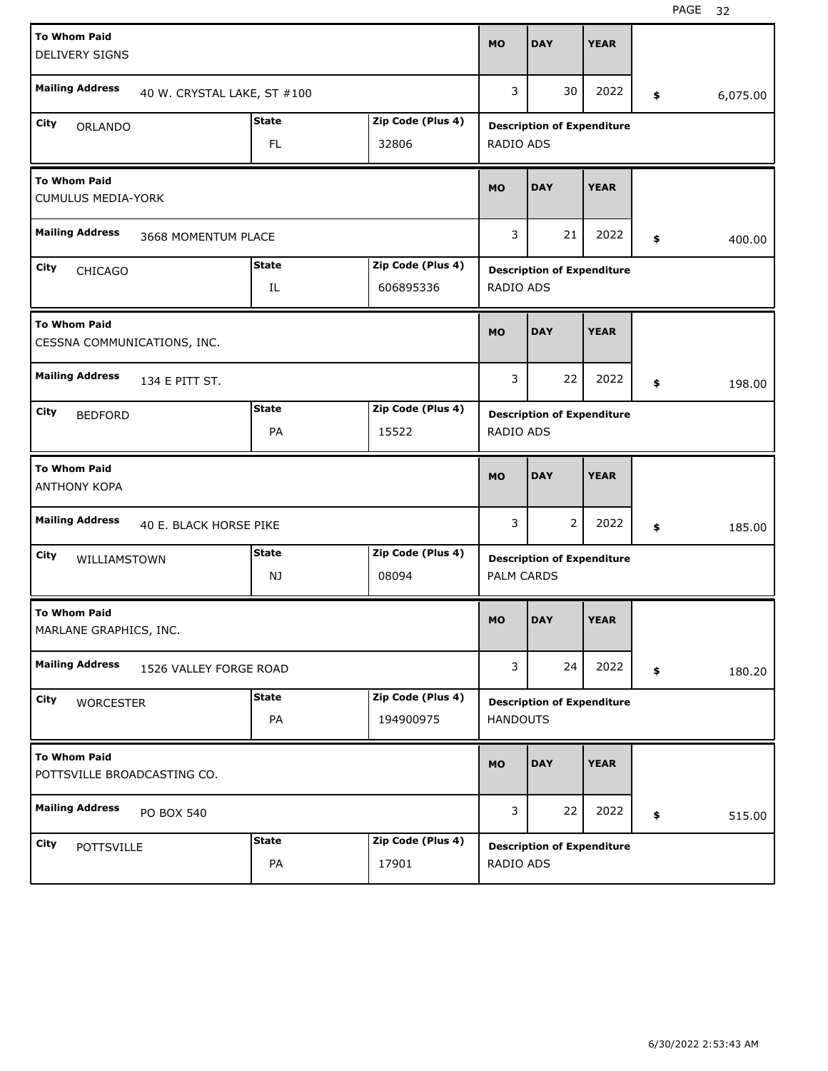| <b>To Whom Paid</b><br><b>DELIVERY SIGNS</b>       |                             |                     |                                | <b>MO</b>         | <b>DAY</b>                        | <b>YEAR</b> |                |
|----------------------------------------------------|-----------------------------|---------------------|--------------------------------|-------------------|-----------------------------------|-------------|----------------|
| <b>Mailing Address</b>                             | 40 W. CRYSTAL LAKE, ST #100 |                     |                                | 3                 | 30                                | 2022        | \$<br>6,075.00 |
| City<br><b>ORLANDO</b>                             |                             | <b>State</b><br>FL. | Zip Code (Plus 4)<br>32806     | RADIO ADS         | <b>Description of Expenditure</b> |             |                |
| <b>To Whom Paid</b><br><b>CUMULUS MEDIA-YORK</b>   |                             |                     |                                |                   | <b>DAY</b>                        | <b>YEAR</b> |                |
| <b>Mailing Address</b>                             | 3668 MOMENTUM PLACE         |                     |                                |                   |                                   | 2022        | \$<br>400.00   |
| City<br><b>CHICAGO</b>                             |                             | <b>State</b><br>IL  | Zip Code (Plus 4)<br>606895336 | <b>RADIO ADS</b>  | <b>Description of Expenditure</b> |             |                |
| <b>To Whom Paid</b><br>CESSNA COMMUNICATIONS, INC. |                             |                     |                                | <b>MO</b>         | <b>DAY</b>                        | <b>YEAR</b> |                |
| <b>Mailing Address</b>                             | 134 E PITT ST.              |                     |                                | 3                 | 22                                | 2022        | \$<br>198.00   |
| City<br><b>BEDFORD</b>                             |                             | <b>State</b><br>PA  | Zip Code (Plus 4)<br>15522     | RADIO ADS         | <b>Description of Expenditure</b> |             |                |
|                                                    |                             |                     |                                |                   |                                   |             |                |
| <b>To Whom Paid</b><br><b>ANTHONY KOPA</b>         |                             |                     |                                | <b>MO</b>         | <b>DAY</b>                        | <b>YEAR</b> |                |
| <b>Mailing Address</b>                             | 40 E. BLACK HORSE PIKE      |                     |                                | 3                 | 2                                 | 2022        | \$<br>185.00   |
| City<br>WILLIAMSTOWN                               |                             | <b>State</b><br>NJ  | Zip Code (Plus 4)<br>08094     | <b>PALM CARDS</b> | <b>Description of Expenditure</b> |             |                |
| <b>To Whom Paid</b><br>MARLANE GRAPHICS, INC.      |                             |                     |                                | <b>MO</b>         | <b>DAY</b>                        | <b>YEAR</b> |                |
| <b>Mailing Address</b>                             | 1526 VALLEY FORGE ROAD      |                     |                                | 3                 | 24                                | 2022        | \$<br>180.20   |
| City<br><b>WORCESTER</b>                           |                             | <b>State</b><br>PA  | Zip Code (Plus 4)<br>194900975 | <b>HANDOUTS</b>   | <b>Description of Expenditure</b> |             |                |
| <b>To Whom Paid</b><br>POTTSVILLE BROADCASTING CO. |                             |                     |                                | <b>MO</b>         | <b>DAY</b>                        | <b>YEAR</b> |                |
| <b>Mailing Address</b>                             | PO BOX 540                  |                     |                                | 3                 | 22                                | 2022        | \$<br>515.00   |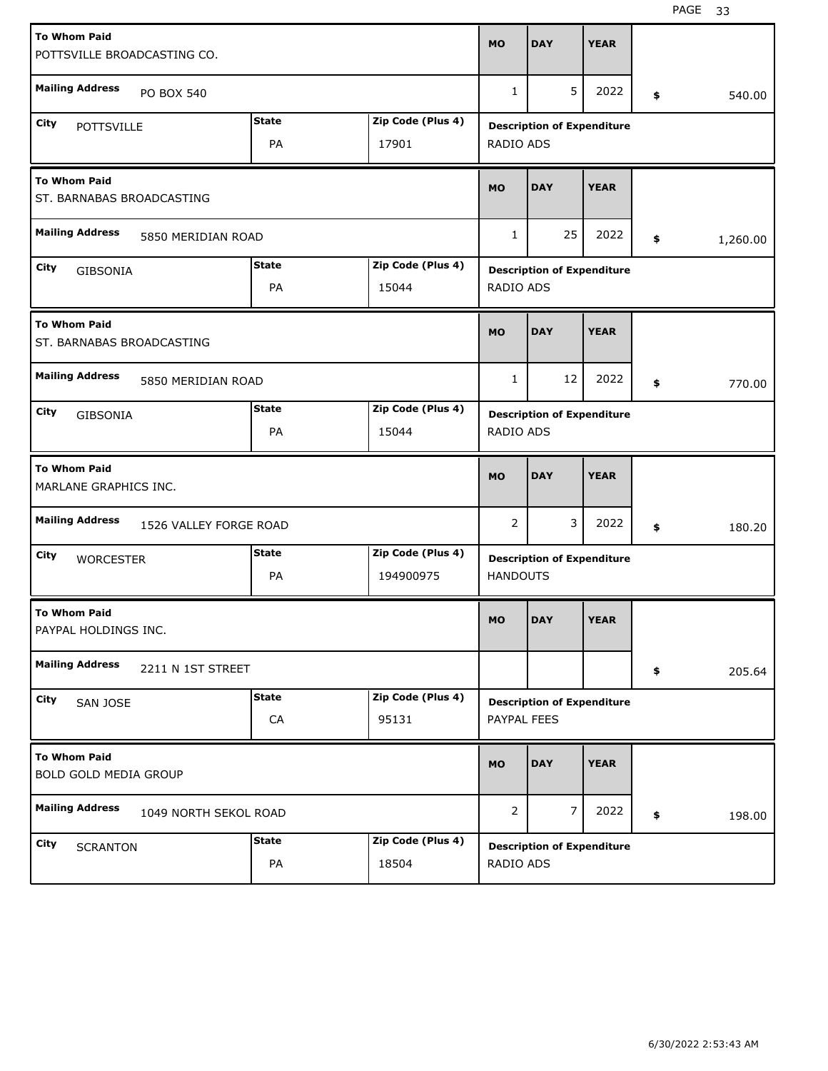| <b>To Whom Paid</b>                              | POTTSVILLE BROADCASTING CO. |              |                   | <b>MO</b>        | <b>DAY</b>                        | <b>YEAR</b> |                |
|--------------------------------------------------|-----------------------------|--------------|-------------------|------------------|-----------------------------------|-------------|----------------|
| <b>Mailing Address</b>                           | PO BOX 540                  |              |                   | $\mathbf{1}$     | 5                                 | 2022        | \$<br>540.00   |
| City<br><b>POTTSVILLE</b>                        |                             | <b>State</b> | Zip Code (Plus 4) |                  | <b>Description of Expenditure</b> |             |                |
|                                                  |                             | PA           | 17901             | RADIO ADS        |                                   |             |                |
| <b>To Whom Paid</b><br>ST. BARNABAS BROADCASTING |                             |              |                   |                  | <b>DAY</b>                        | <b>YEAR</b> |                |
| <b>Mailing Address</b>                           | 5850 MERIDIAN ROAD          |              |                   |                  |                                   | 2022        | \$<br>1,260.00 |
| City<br>GIBSONIA                                 |                             | <b>State</b> | Zip Code (Plus 4) |                  | <b>Description of Expenditure</b> |             |                |
|                                                  |                             | PA           | 15044             | <b>RADIO ADS</b> |                                   |             |                |
| <b>To Whom Paid</b><br>ST. BARNABAS BROADCASTING |                             |              |                   | <b>MO</b>        | <b>DAY</b>                        | <b>YEAR</b> |                |
| <b>Mailing Address</b>                           | 5850 MERIDIAN ROAD          |              |                   | $\mathbf{1}$     | 12                                | 2022        | \$<br>770.00   |
| City<br>GIBSONIA                                 |                             | <b>State</b> | Zip Code (Plus 4) |                  | <b>Description of Expenditure</b> |             |                |
|                                                  |                             | PA           | 15044             | RADIO ADS        |                                   |             |                |
|                                                  |                             |              |                   |                  |                                   |             |                |
| <b>To Whom Paid</b><br>MARLANE GRAPHICS INC.     |                             |              |                   | <b>MO</b>        | <b>DAY</b>                        | <b>YEAR</b> |                |
| <b>Mailing Address</b>                           | 1526 VALLEY FORGE ROAD      |              |                   | 2                | 3                                 | 2022        | \$<br>180.20   |
| City                                             |                             | State        | Zip Code (Plus 4) |                  |                                   |             |                |
| <b>WORCESTER</b>                                 |                             | PA           | 194900975         | <b>HANDOUTS</b>  | <b>Description of Expenditure</b> |             |                |
| <b>To Whom Paid</b><br>PAYPAL HOLDINGS INC.      |                             |              |                   | <b>MO</b>        | <b>DAY</b>                        | <b>YEAR</b> |                |
| <b>Mailing Address</b>                           | 2211 N 1ST STREET           |              |                   |                  |                                   |             | \$<br>205.64   |
| City                                             |                             | <b>State</b> | Zip Code (Plus 4) |                  |                                   |             |                |
| SAN JOSE                                         |                             | ${\sf CA}$   | 95131             | PAYPAL FEES      | <b>Description of Expenditure</b> |             |                |
| <b>To Whom Paid</b><br>BOLD GOLD MEDIA GROUP     |                             |              |                   | <b>MO</b>        | <b>DAY</b>                        | <b>YEAR</b> |                |
| <b>Mailing Address</b>                           | 1049 NORTH SEKOL ROAD       |              |                   | $\overline{2}$   | $\overline{7}$                    | 2022        | \$<br>198.00   |
| City<br><b>SCRANTON</b>                          |                             | <b>State</b> | Zip Code (Plus 4) |                  | <b>Description of Expenditure</b> |             |                |

H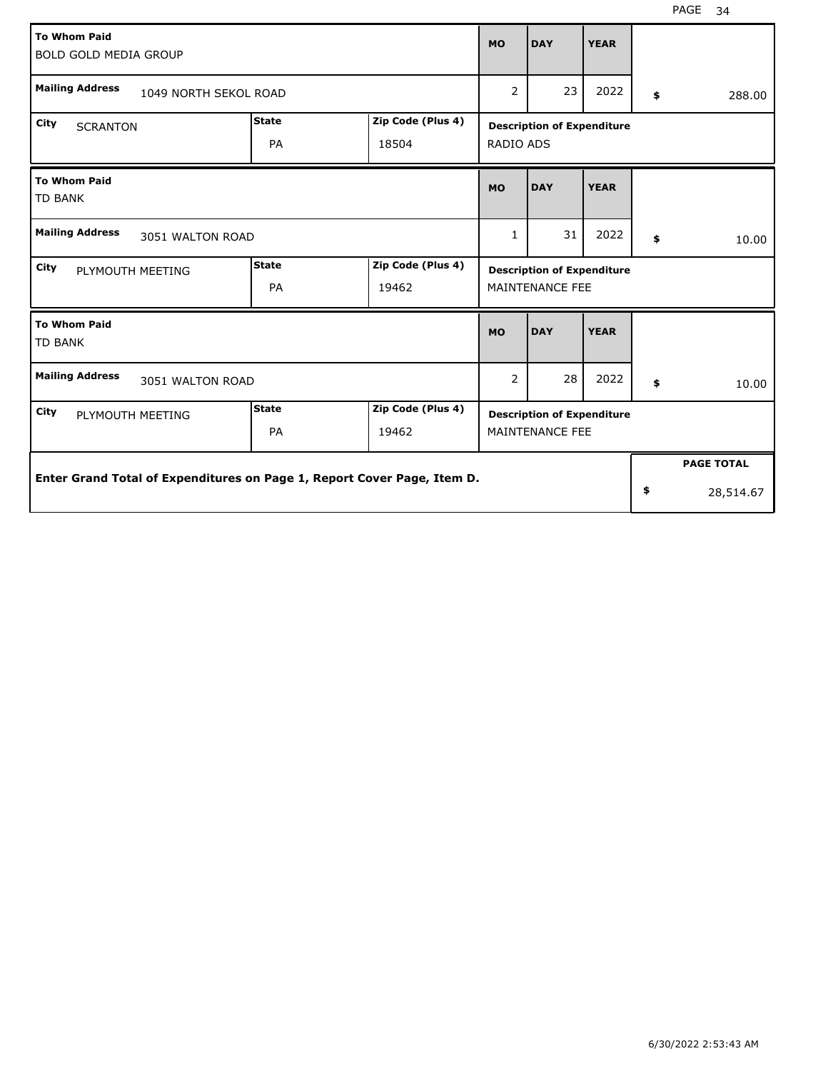| <b>To Whom Paid</b><br><b>BOLD GOLD MEDIA GROUP</b>                     |                                                            |                   | <b>MO</b>    | <b>DAY</b>                        | <b>YEAR</b> |    |                   |
|-------------------------------------------------------------------------|------------------------------------------------------------|-------------------|--------------|-----------------------------------|-------------|----|-------------------|
| <b>Mailing Address</b>                                                  | 1049 NORTH SEKOL ROAD<br><b>State</b><br>Zip Code (Plus 4) |                   |              |                                   |             |    | 288.00            |
| City<br><b>SCRANTON</b>                                                 | <b>Description of Expenditure</b>                          |                   |              |                                   |             |    |                   |
|                                                                         | PA                                                         | 18504             | RADIO ADS    |                                   |             |    |                   |
| <b>To Whom Paid</b><br><b>TD BANK</b>                                   |                                                            |                   | <b>MO</b>    | <b>DAY</b>                        | <b>YEAR</b> |    |                   |
| <b>Mailing Address</b><br>3051 WALTON ROAD                              |                                                            |                   | $\mathbf{1}$ | 31                                | 2022        | \$ | 10.00             |
| <b>City</b><br>PLYMOUTH MEETING                                         | <b>State</b>                                               | Zip Code (Plus 4) |              | <b>Description of Expenditure</b> |             |    |                   |
|                                                                         | PA                                                         | 19462             |              | <b>MAINTENANCE FEE</b>            |             |    |                   |
| <b>To Whom Paid</b><br><b>TD BANK</b>                                   |                                                            |                   | <b>MO</b>    | <b>DAY</b>                        | <b>YEAR</b> |    |                   |
| <b>Mailing Address</b><br>3051 WALTON ROAD                              |                                                            |                   | 2            | 28                                | 2022        | \$ | 10.00             |
| City<br>PLYMOUTH MEETING                                                | <b>State</b>                                               | Zip Code (Plus 4) |              | <b>Description of Expenditure</b> |             |    |                   |
|                                                                         | PA                                                         | 19462             |              | MAINTENANCE FEE                   |             |    |                   |
|                                                                         |                                                            |                   |              |                                   |             |    | <b>PAGE TOTAL</b> |
| Enter Grand Total of Expenditures on Page 1, Report Cover Page, Item D. |                                                            |                   |              |                                   |             | \$ | 28,514.67         |